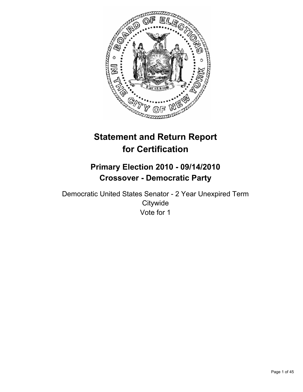

# **Statement and Return Report for Certification**

# **Primary Election 2010 - 09/14/2010 Crossover - Democratic Party**

Democratic United States Senator - 2 Year Unexpired Term **Citywide** Vote for 1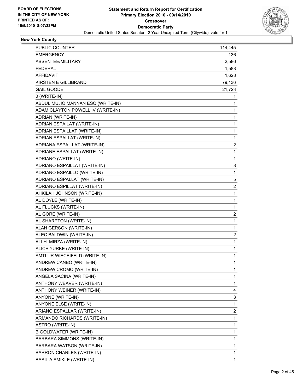

| PUBLIC COUNTER<br><b>EMERGENCY</b><br>ABSENTEE/MILITARY<br><b>FEDERAL</b><br>AFFIDAVIT<br>KIRSTEN E GILLIBRAND<br><b>GAIL GOODE</b><br>0 (WRITE-IN)<br>ABDUL MUJIO MANNAN ESQ (WRITE-IN)<br>ADAM CLAYTON POWELL IV (WRITE-IN)<br>ADRIAN (WRITE-IN)<br>ADRIAN ESPAILAT (WRITE-IN)<br>ADRIAN ESPAILLAT (WRITE-IN)<br>ADRIAN ESPALLAT (WRITE-IN)<br>ADRIANA ESPAILLAT (WRITE-IN)<br>ADRIANE ESPALLAT (WRITE-IN)<br>ADRIANO (WRITE-IN)<br>ADRIANO ESPAILLAT (WRITE-IN)<br>ADRIANO ESPAILLO (WRITE-IN)<br>ADRIANO ESPALLAT (WRITE-IN)<br>ADRIANO ESPILLAT (WRITE-IN)<br>AHKILAH JOHNSON (WRITE-IN)<br>AL DOYLE (WRITE-IN)<br>AL FLUCKS (WRITE-IN)<br>AL GORE (WRITE-IN) | 114,445                 |
|--------------------------------------------------------------------------------------------------------------------------------------------------------------------------------------------------------------------------------------------------------------------------------------------------------------------------------------------------------------------------------------------------------------------------------------------------------------------------------------------------------------------------------------------------------------------------------------------------------------------------------------------------------------------|-------------------------|
|                                                                                                                                                                                                                                                                                                                                                                                                                                                                                                                                                                                                                                                                    |                         |
|                                                                                                                                                                                                                                                                                                                                                                                                                                                                                                                                                                                                                                                                    | 136.                    |
|                                                                                                                                                                                                                                                                                                                                                                                                                                                                                                                                                                                                                                                                    | 2,586                   |
|                                                                                                                                                                                                                                                                                                                                                                                                                                                                                                                                                                                                                                                                    | 1,588                   |
|                                                                                                                                                                                                                                                                                                                                                                                                                                                                                                                                                                                                                                                                    | 1,628                   |
|                                                                                                                                                                                                                                                                                                                                                                                                                                                                                                                                                                                                                                                                    | 79,136                  |
|                                                                                                                                                                                                                                                                                                                                                                                                                                                                                                                                                                                                                                                                    | 21,723                  |
|                                                                                                                                                                                                                                                                                                                                                                                                                                                                                                                                                                                                                                                                    | 1                       |
|                                                                                                                                                                                                                                                                                                                                                                                                                                                                                                                                                                                                                                                                    | 1                       |
|                                                                                                                                                                                                                                                                                                                                                                                                                                                                                                                                                                                                                                                                    | 1                       |
|                                                                                                                                                                                                                                                                                                                                                                                                                                                                                                                                                                                                                                                                    | 1                       |
|                                                                                                                                                                                                                                                                                                                                                                                                                                                                                                                                                                                                                                                                    | 1                       |
|                                                                                                                                                                                                                                                                                                                                                                                                                                                                                                                                                                                                                                                                    | 1                       |
|                                                                                                                                                                                                                                                                                                                                                                                                                                                                                                                                                                                                                                                                    | 1                       |
|                                                                                                                                                                                                                                                                                                                                                                                                                                                                                                                                                                                                                                                                    | 2                       |
|                                                                                                                                                                                                                                                                                                                                                                                                                                                                                                                                                                                                                                                                    | 1                       |
|                                                                                                                                                                                                                                                                                                                                                                                                                                                                                                                                                                                                                                                                    | 1                       |
|                                                                                                                                                                                                                                                                                                                                                                                                                                                                                                                                                                                                                                                                    | 8                       |
|                                                                                                                                                                                                                                                                                                                                                                                                                                                                                                                                                                                                                                                                    | 1                       |
|                                                                                                                                                                                                                                                                                                                                                                                                                                                                                                                                                                                                                                                                    | 5                       |
|                                                                                                                                                                                                                                                                                                                                                                                                                                                                                                                                                                                                                                                                    | $\overline{\mathbf{c}}$ |
|                                                                                                                                                                                                                                                                                                                                                                                                                                                                                                                                                                                                                                                                    | 1                       |
|                                                                                                                                                                                                                                                                                                                                                                                                                                                                                                                                                                                                                                                                    | 1                       |
|                                                                                                                                                                                                                                                                                                                                                                                                                                                                                                                                                                                                                                                                    | 1                       |
|                                                                                                                                                                                                                                                                                                                                                                                                                                                                                                                                                                                                                                                                    | $\overline{\mathbf{c}}$ |
| AL SHARPTON (WRITE-IN)                                                                                                                                                                                                                                                                                                                                                                                                                                                                                                                                                                                                                                             | $\mathbf{1}$            |
| ALAN GERSON (WRITE-IN)                                                                                                                                                                                                                                                                                                                                                                                                                                                                                                                                                                                                                                             | 1                       |
| ALEC BALDWIN (WRITE-IN)                                                                                                                                                                                                                                                                                                                                                                                                                                                                                                                                                                                                                                            | 2                       |
| ALI H. MIRZA (WRITE-IN)                                                                                                                                                                                                                                                                                                                                                                                                                                                                                                                                                                                                                                            | 1                       |
| ALICE YURKE (WRITE-IN)                                                                                                                                                                                                                                                                                                                                                                                                                                                                                                                                                                                                                                             | 1                       |
| AMTLUR WIECEIFELD (WRITE-IN)                                                                                                                                                                                                                                                                                                                                                                                                                                                                                                                                                                                                                                       | 1                       |
| ANDREW CANBO (WRITE-IN)                                                                                                                                                                                                                                                                                                                                                                                                                                                                                                                                                                                                                                            | 1                       |
| ANDREW CROMO (WRITE-IN)                                                                                                                                                                                                                                                                                                                                                                                                                                                                                                                                                                                                                                            | 1                       |
| ANGELA SACINA (WRITE-IN)                                                                                                                                                                                                                                                                                                                                                                                                                                                                                                                                                                                                                                           | 1                       |
| ANTHONY WEAVER (WRITE-IN)                                                                                                                                                                                                                                                                                                                                                                                                                                                                                                                                                                                                                                          | 1                       |
| ANTHONY WEINER (WRITE-IN)                                                                                                                                                                                                                                                                                                                                                                                                                                                                                                                                                                                                                                          | 4                       |
| ANYONE (WRITE-IN)                                                                                                                                                                                                                                                                                                                                                                                                                                                                                                                                                                                                                                                  | 3                       |
| ANYONE ELSE (WRITE-IN)                                                                                                                                                                                                                                                                                                                                                                                                                                                                                                                                                                                                                                             | 1                       |
| ARIANO ESPALLAR (WRITE-IN)                                                                                                                                                                                                                                                                                                                                                                                                                                                                                                                                                                                                                                         | 2                       |
| ARMANDO RICHARDS (WRITE-IN)                                                                                                                                                                                                                                                                                                                                                                                                                                                                                                                                                                                                                                        | 1                       |
| ASTRO (WRITE-IN)                                                                                                                                                                                                                                                                                                                                                                                                                                                                                                                                                                                                                                                   | 1                       |
| <b>B GOLDWATER (WRITE-IN)</b>                                                                                                                                                                                                                                                                                                                                                                                                                                                                                                                                                                                                                                      | 1                       |
| BARBARA SIMMONS (WRITE-IN)                                                                                                                                                                                                                                                                                                                                                                                                                                                                                                                                                                                                                                         | 1                       |
| BARBARA WATSON (WRITE-IN)                                                                                                                                                                                                                                                                                                                                                                                                                                                                                                                                                                                                                                          | 1                       |
| <b>BARRON CHARLES (WRITE-IN)</b>                                                                                                                                                                                                                                                                                                                                                                                                                                                                                                                                                                                                                                   | 1                       |
| <b>BASIL A SMIKLE (WRITE-IN)</b>                                                                                                                                                                                                                                                                                                                                                                                                                                                                                                                                                                                                                                   | $\mathbf{1}$            |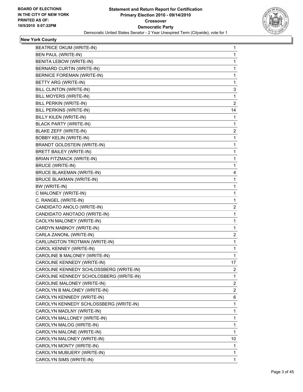

| <b>BEATRICE OKUM (WRITE-IN)</b>         | 1  |
|-----------------------------------------|----|
| BEN PAUL (WRITE-IN)                     | 1  |
| BENITA LEBOW (WRITE-IN)                 | 1  |
| BERNARD CURTIN (WRITE-IN)               | 1  |
| <b>BERNICE FOREMAN (WRITE-IN)</b>       | 1  |
| BETTY ARG (WRITE-IN)                    | 1  |
| BILL CLINTON (WRITE-IN)                 | 3  |
| BILL MOYERS (WRITE-IN)                  | 1  |
| BILL PERKIN (WRITE-IN)                  | 2  |
| BILL PERKINS (WRITE-IN)                 | 14 |
| BILLY KILEN (WRITE-IN)                  | 1  |
| <b>BLACK PARTY (WRITE-IN)</b>           | 1  |
| BLAKE ZEFF (WRITE-IN)                   | 2  |
| <b>BOBBY KELIN (WRITE-IN)</b>           | 1  |
| BRANDT GOLDSTEIN (WRITE-IN)             | 1  |
| BRETT BAILEY (WRITE-IN)                 | 1  |
| <b>BRIAN FITZMACK (WRITE-IN)</b>        | 1  |
| <b>BRUCE (WRITE-IN)</b>                 | 1  |
| <b>BRUCE BLAKEMAN (WRITE-IN)</b>        | 4  |
| <b>BRUCE BLAKMAN (WRITE-IN)</b>         | 1  |
| BW (WRITE-IN)                           | 1  |
| C MALONEY (WRITE-IN)                    | 1  |
| C. RANGEL (WRITE-IN)                    | 1  |
| CANDIDATO ANOLO (WRITE-IN)              | 2  |
| CANDIDATO ANOTADO (WRITE-IN)            | 1  |
| CAOLYN MALONEY (WRITE-IN)               | 1  |
| CARDYN MABNOY (WRITE-IN)                | 1  |
| CARLA ZANONL (WRITE-IN)                 | 2  |
| CARLUNGTON TROTMAN (WRITE-IN)           | 1  |
| CAROL KENNEY (WRITE-IN)                 | 1  |
| CAROLINE B MALONEY (WRITE-IN)           | 1  |
| CAROLINE KENNEDY (WRITE-IN)             | 17 |
| CAROLINE KENNEDY SCHLOSSBERG (WRITE-IN) | 2  |
| CAROLINE KENNEDY SCHOLOSBERG (WRITE-IN) | 1  |
| CAROLINE MALONEY (WRITE-IN)             | 2  |
| CAROLYN B MALONEY (WRITE-IN)            | 2  |
| CAROLYN KENNEDY (WRITE-IN)              | 6  |
| CAROLYN KENNEDY SCHLOSSBERG (WRITE-IN)  | 1  |
| CAROLYN MADLNY (WRITE-IN)               | 1  |
| CAROLYN MALLONEY (WRITE-IN)             | 1  |
| CAROLYN MALOG (WRITE-IN)                | 1  |
| CAROLYN MALONE (WRITE-IN)               | 1  |
| CAROLYN MALONEY (WRITE-IN)              | 10 |
| CAROLYN MONTY (WRITE-IN)                | 1  |
| CAROLYN MUBUERY (WRITE-IN)              | 1  |
| CAROLYN SIMS (WRITE-IN)                 | 1  |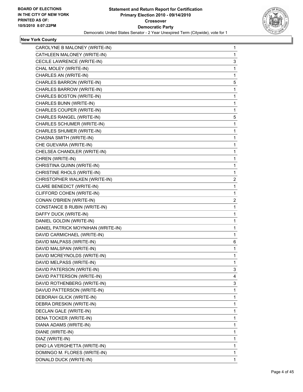

| CAROLYNE B MALONEY (WRITE-IN)       | 1 |
|-------------------------------------|---|
| CATHLEEN MALONEY (WRITE-IN)         | 1 |
| CECILE LAWRENCE (WRITE-IN)          | 3 |
| CHAL MOLEY (WRITE-IN)               | 1 |
| CHARLES AN (WRITE-IN)               | 1 |
| CHARLES BARRON (WRITE-IN)           | 5 |
| CHARLES BARROW (WRITE-IN)           | 1 |
| CHARLES BOSTON (WRITE-IN)           | 1 |
| CHARLES BUNN (WRITE-IN)             | 1 |
| CHARLES COUPER (WRITE-IN)           | 1 |
| CHARLES RANGEL (WRITE-IN)           | 5 |
| CHARLES SCHUMER (WRITE-IN)          | 1 |
| CHARLES SHUMER (WRITE-IN)           | 1 |
| CHASNA SMITH (WRITE-IN)             | 1 |
| CHE GUEVARA (WRITE-IN)              | 1 |
| CHELSEA CHANDLER (WRITE-IN)         | 1 |
| CHREN (WRITE-IN)                    | 1 |
| CHRISTINA QUINN (WRITE-IN)          | 1 |
| CHRISTINE RHOLS (WRITE-IN)          | 1 |
| CHRISTOPHER WALKEN (WRITE-IN)       | 2 |
| CLARE BENEDICT (WRITE-IN)           | 1 |
| CLIFFORD COHEN (WRITE-IN)           | 1 |
| CONAN O'BRIEN (WRITE-IN)            | 2 |
| <b>CONSTANCE B RUBIN (WRITE-IN)</b> | 1 |
| DAFFY DUCK (WRITE-IN)               | 1 |
| DANIEL GOLDIN (WRITE-IN)            | 1 |
| DANIEL PATRICK MOYNIHAN (WRITE-IN)  | 1 |
| DAVID CARMICHAEL (WRITE-IN)         | 1 |
| DAVID MALPASS (WRITE-IN)            | 6 |
| DAVID MALSPAN (WRITE-IN)            | 1 |
| DAVID MCREYNOLDS (WRITE-IN)         | 1 |
| DAVID MELPASS (WRITE-IN)            | 1 |
| DAVID PATERSON (WRITE-IN)           | 3 |
| DAVID PATTERSON (WRITE-IN)          | 4 |
| DAVID ROTHENBERG (WRITE-IN)         | 3 |
| DAVUD PATTERSON (WRITE-IN)          | 1 |
| DEBORAH GLICK (WRITE-IN)            | 1 |
| DEBRA DRESKIN (WRITE-IN)            | 1 |
| DECLAN GALE (WRITE-IN)              | 1 |
| DENA TOCKER (WRITE-IN)              | 1 |
| DIANA ADAMS (WRITE-IN)              | 1 |
| DIANE (WRITE-IN)                    | 1 |
| DIAZ (WRITE-IN)                     | 1 |
| DIND LA VERGHETTA (WRITE-IN)        | 1 |
|                                     |   |
| DOMINGO M. FLORES (WRITE-IN)        | 1 |
| DONALD DUCK (WRITE-IN)              | 1 |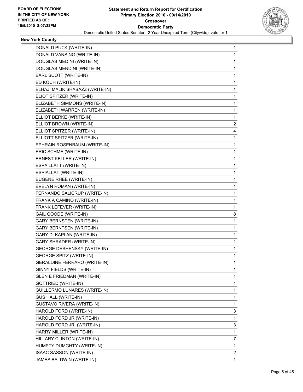

| DONALD PUCK (WRITE-IN)              | $\mathbf{1}$ |
|-------------------------------------|--------------|
| DONALD VANSING (WRITE-IN)           | 1            |
| DOUGLAS MEDINI (WRITE-IN)           | 1            |
| DOUGLAS MENDINI (WRITE-IN)          | 1            |
| EARL SCOTT (WRITE-IN)               | 1            |
| ED KOCH (WRITE-IN)                  | 1            |
| ELHAJI MALIK SHABAZZ (WRITE-IN)     | 1            |
| ELIOT SPITZER (WRITE-IN)            | 1            |
| ELIZABETH SIMMONS (WRITE-IN)        | 1            |
| ELIZABETH WARREN (WRITE-IN)         | 1            |
| ELLIOT BERKE (WRITE-IN)             | 1            |
| ELLIOT BROWN (WRITE-IN)             | 2            |
| ELLIOT SPITZER (WRITE-IN)           | 4            |
| ELLIOTT SPITZER (WRITE-IN)          | 1            |
| EPHRAIN ROSENBAUM (WRITE-IN)        | 1            |
| ERIC SCHME (WRITE-IN)               | 1            |
| ERNEST KELLER (WRITE-IN)            | 1            |
| ESPAILLATT (WRITE-IN)               | 1            |
| ESPIALLAT (WRITE-IN)                | 1            |
| EUGENE RHEE (WRITE-IN)              | 1            |
| EVELYN ROMAN (WRITE-IN)             | 1            |
| FERNANDO SALICRUP (WRITE-IN)        | 1            |
| FRANK A CAMINO (WRITE-IN)           | 1            |
| FRANK LEFEVER (WRITE-IN)            | 1            |
| GAIL GOODE (WRITE-IN)               | 8            |
| <b>GARY BERNSTEN (WRITE-IN)</b>     | 1            |
| <b>GARY BERNTSEN (WRITE-IN)</b>     | 1            |
| GARY D. KAPLAN (WRITE-IN)           | 1            |
| GARY SHRADER (WRITE-IN)             | 1            |
| <b>GEORGE DESHENSKY (WRITE-IN)</b>  | 1            |
| <b>GEORGE SPITZ (WRITE-IN)</b>      | 1            |
| <b>GERALDINE FERRARO (WRITE-IN)</b> | 1            |
| GINNY FIELDS (WRITE-IN)             | 1            |
| <b>GLEN E FRIEDMAN (WRITE-IN)</b>   | 1            |
| <b>GOTTRIED (WRITE-IN)</b>          | 1            |
| GUILLERMO LUNARES (WRITE-IN)        | 1            |
| <b>GUS HALL (WRITE-IN)</b>          | 1            |
| <b>GUSTAVO RIVERA (WRITE-IN)</b>    | 1            |
| HAROLD FORD (WRITE-IN)              | 3            |
| HAROLD FORD JR (WRITE-IN)           | 1            |
| HAROLD FORD JR. (WRITE-IN)          | 3            |
| HARRY MILLER (WRITE-IN)             | 1            |
| HILLARY CLINTON (WRITE-IN)          | 7            |
| HUMPTY DUMGHTY (WRITE-IN)           | 1            |
| ISAAC SASSON (WRITE-IN)             | 2            |
| JAMES BALDWIN (WRITE-IN)            | $\mathbf{1}$ |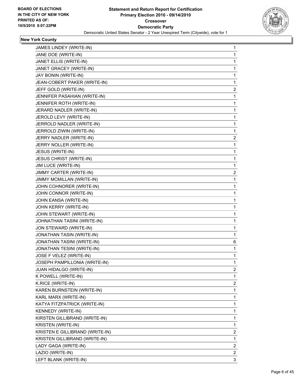

| JAMES LINDEY (WRITE-IN)         | 1            |
|---------------------------------|--------------|
| JANE DOE (WRITE-IN)             | 1            |
| JANET ELLIS (WRITE-IN)          | 1            |
| JANET GRACEY (WRITE-IN)         | 1            |
| JAY BONIN (WRITE-IN)            | 1            |
| JEAN-COBERT PAKER (WRITE-IN)    | 1            |
| JEFF GOLD (WRITE-IN)            | 2            |
| JENNIFER PASAHIAN (WRITE-IN)    | 1            |
| JENNIFER ROTH (WRITE-IN)        | 1            |
| JERARD NADLER (WRITE-IN)        | 1            |
| JEROLD LEVY (WRITE-IN)          | 1            |
| JERROLD NADLER (WRITE-IN)       | 1            |
| JERROLD ZIWIN (WRITE-IN)        | 1            |
| JERRY NADLER (WRITE-IN)         | 2            |
| JERRY NOLLER (WRITE-IN)         | 1            |
| JESUS (WRITE-IN)                | 1            |
| <b>JESUS CHRIST (WRITE-IN)</b>  | 1            |
| JIM LUCE (WRITE-IN)             | 1            |
| JIMMY CARTER (WRITE-IN)         | 2            |
| JIMMY MCMILLAN (WRITE-IN)       | 1            |
| JOHN COHNORER (WRITE-IN)        | 1            |
| JOHN CONNOR (WRITE-IN)          | 1            |
| JOHN EANSA (WRITE-IN)           | 1            |
| JOHN KERRY (WRITE-IN)           | 1            |
| JOHN STEWART (WRITE-IN)         | 1            |
| JOHNATHAN TASINI (WRITE-IN)     | 1            |
| JON STEWARD (WRITE-IN)          | 1            |
| JONATHAN TASIN (WRITE-IN)       | 1            |
| JONATHAN TASINI (WRITE-IN)      | 6            |
| JONATHAN TESINI (WRITE-IN)      | 1            |
| JOSE F VELEZ (WRITE-IN)         | 1            |
| JOSEPH PAMPILLONIA (WRITE-IN)   | 1            |
| JUAN HIDALGO (WRITE-IN)         | 2            |
| K POWELL (WRITE-IN)             | 1            |
| K.RICE (WRITE-IN)               | 2            |
| KAREN BURNSTEIN (WRITE-IN)      | 1            |
| KARL MARX (WRITE-IN)            | 1            |
| KATYA FITZPATRICK (WRITE-IN)    | 1            |
| KENNEDY (WRITE-IN)              | 1            |
| KIRSTEN GILLIBRAND (WRITE-IN)   | 1            |
| KRISTEN (WRITE-IN)              | 1            |
| KRISTEN E GILLIBRAND (WRITE-IN) | 2            |
| KRISTEN GILLIBRAND (WRITE-IN)   | 1            |
| LADY GAGA (WRITE-IN)            | 2            |
| LAZIO (WRITE-IN)                | $\mathbf{2}$ |
| LEFT BLANK (WRITE-IN)           | 3            |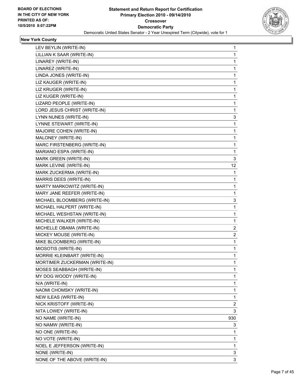

| LEV BEYLIN (WRITE-IN)         | 1                       |
|-------------------------------|-------------------------|
| LILLIAN K SAAR (WRITE-IN)     | 1                       |
| LINAREY (WRITE-IN)            | 1                       |
| LINAREZ (WRITE-IN)            | 1                       |
| LINDA JONES (WRITE-IN)        | 1                       |
| LIZ KAUGER (WRITE-IN)         | 1                       |
| LIZ KRUGER (WRITE-IN)         | 1                       |
| LIZ KUGER (WRITE-IN)          | 1                       |
| LIZARD PEOPLE (WRITE-IN)      | 1                       |
| LORD JESUS CHRIST (WRITE-IN)  | 1                       |
| LYNN NUNES (WRITE-IN)         | 3                       |
| LYNNE STEWART (WRITE-IN)      | 1                       |
| MAJOIRE COHEN (WRITE-IN)      | 1                       |
| MALONEY (WRITE-IN)            | 1                       |
| MARC FIRSTENBERG (WRITE-IN)   | 1                       |
| MARIANO ESPA (WRITE-IN)       | 1                       |
| MARK GREEN (WRITE-IN)         | 3                       |
| MARK LEVINE (WRITE-IN)        | 12                      |
| MARK ZUCKERMA (WRITE-IN)      | 1                       |
| MARRIS DEES (WRITE-IN)        | 1                       |
| MARTY MARKOWITZ (WRITE-IN)    | 1                       |
| MARY JANE REEFER (WRITE-IN)   | 1                       |
| MICHAEL BLOOMBERG (WRITE-IN)  | 3                       |
| MICHAEL HALPERT (WRITE-IN)    | 1                       |
| MICHAEL WESHSTAN (WRITE-IN)   | 1                       |
| MICHELE WALKER (WRITE-IN)     | 1                       |
| MICHELLE OBAMA (WRITE-IN)     | 2                       |
| MICKEY MOUSE (WRITE-IN)       | $\overline{\mathbf{c}}$ |
| MIKE BLOOMBERG (WRITE-IN)     | 1                       |
| MIOSOTIS (WRITE-IN)           | 1                       |
| MORRIE KLEINBART (WRITE-IN)   | 1                       |
| MORTIMER ZUCKERMAN (WRITE-IN) | 1                       |
| MOSES SEABBAGH (WRITE-IN)     | 1                       |
| MY DOG WOODY (WRITE-IN)       | 1                       |
| N/A (WRITE-IN)                | 1                       |
| NAOMI CHOMSKY (WRITE-IN)      | 1                       |
| NEW ILEAS (WRITE-IN)          | 1                       |
| NICK KRISTOFF (WRITE-IN)      | $\overline{\mathbf{c}}$ |
| NITA LOWEY (WRITE-IN)         | 3                       |
| NO NAME (WRITE-IN)            | 930                     |
| NO NAMW (WRITE-IN)            | 3                       |
| NO ONE (WRITE-IN)             | 1                       |
| NO VOTE (WRITE-IN)            | 1                       |
| NOEL E JEFFERSON (WRITE-IN)   | 1                       |
| NONE (WRITE-IN)               | 3                       |
| NONE OF THE ABOVE (WRITE-IN)  | 3                       |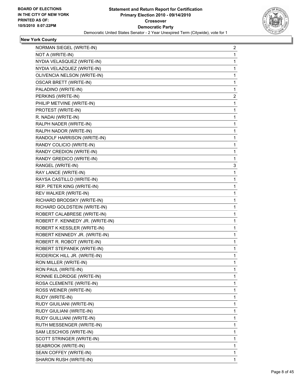

| NORMAN SIEGEL (WRITE-IN)         | $\overline{c}$ |
|----------------------------------|----------------|
| NOT A (WRITE-IN)                 | 1              |
| NYDIA VELASQUEZ (WRITE-IN)       | 1              |
| NYDIA VELAZQUEZ (WRITE-IN)       | 1              |
| OLIVENCIA NELSON (WRITE-IN)      | 1              |
| <b>OSCAR BRETT (WRITE-IN)</b>    | 1              |
| PALADINO (WRITE-IN)              | 1              |
| PERKINS (WRITE-IN)               | 2              |
| PHILIP METVINE (WRITE-IN)        | 1              |
| PROTEST (WRITE-IN)               | 1              |
| R. NADAI (WRITE-IN)              | 1              |
| RALPH NADER (WRITE-IN)           | 1              |
| RALPH NADOR (WRITE-IN)           | 1              |
| RANDOLF HARRISON (WRITE-IN)      | 1              |
| RANDY COLICIO (WRITE-IN)         | 1              |
| RANDY CREDION (WRITE-IN)         | 1              |
| RANDY GREDICO (WRITE-IN)         | 1              |
| RANGEL (WRITE-IN)                | 3              |
| RAY LANCE (WRITE-IN)             | 1              |
| RAYSA CASTILLO (WRITE-IN)        | 1              |
| REP. PETER KING (WRITE-IN)       | 1              |
| REV WALKER (WRITE-IN)            | 1              |
| RICHARD BRODSKY (WRITE-IN)       | 1              |
| RICHARD GOLDSTEIN (WRITE-IN)     | 1              |
| ROBERT CALABRESE (WRITE-IN)      | 1              |
| ROBERT F. KENNEDY JR. (WRITE-IN) | 1              |
| ROBERT K KESSLER (WRITE-IN)      | 1              |
| ROBERT KENNEDY JR. (WRITE-IN)    | 1              |
| ROBERT R. ROBOT (WRITE-IN)       | 1              |
| ROBERT STEPANEK (WRITE-IN)       | 1              |
| RODERICK HILL JR. (WRITE-IN)     | 1              |
| RON MILLER (WRITE-IN)            | 1              |
| RON PAUL (WRITE-IN)              | 1              |
| RONNIE ELDRIDGE (WRITE-IN)       | 1              |
| ROSA CLEMENTE (WRITE-IN)         | 1              |
| ROSS WEINER (WRITE-IN)           | 1              |
| RUDY (WRITE-IN)                  | 1              |
| RUDY GIUILIANI (WRITE-IN)        | 1              |
| RUDY GIULIANI (WRITE-IN)         | 1              |
| RUDY GUILLIANI (WRITE-IN)        | 1              |
| RUTH MESSENGER (WRITE-IN)        | 1              |
| SAM LESCHIOS (WRITE-IN)          | 1              |
| SCOTT STRINGER (WRITE-IN)        | 1              |
| SEABROOK (WRITE-IN)              | 1              |
| SEAN COFFEY (WRITE-IN)           | 1              |
| SHARON RUSH (WRITE-IN)           | 1              |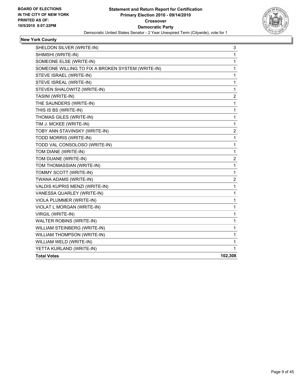

| SHELDON SILVER (WRITE-IN)                         | 3                       |
|---------------------------------------------------|-------------------------|
| SHIMSHI (WRITE-IN)                                | 1                       |
| SOMEONE ELSE (WRITE-IN)                           | 1                       |
| SOMEONE WILLING TO FIX A BROKEN SYSTEM (WRITE-IN) | 1                       |
| STEVE ISRAEL (WRITE-IN)                           | 1                       |
| STEVE ISREAL (WRITE-IN)                           | 1                       |
| STEVEN SHALOWITZ (WRITE-IN)                       | 1                       |
| TASINI (WRITE-IN)                                 | 2                       |
| THE SAUNDERS (WRITE-IN)                           | 1                       |
| THIS IS BS (WRITE-IN)                             | 1                       |
| THOMAS GILES (WRITE-IN)                           | 1                       |
| TIM J. MCKEE (WRITE-IN)                           | 1                       |
| TOBY ANN STAVINSKY (WRITE-IN)                     | $\overline{\mathbf{c}}$ |
| TODD MORRIS (WRITE-IN)                            | 1                       |
| TODD VAL CONSOLOSO (WRITE-IN)                     | 1                       |
| TOM DIANE (WRITE-IN)                              | 1                       |
| TOM DUANE (WRITE-IN)                              | 2                       |
| TOM THOMASSIAN (WRITE-IN)                         | $\mathbf{1}$            |
| TOMMY SCOTT (WRITE-IN)                            | 1                       |
| TWANA ADAMS (WRITE-IN)                            | 2                       |
| VALDIS KUPRIS MENZI (WRITE-IN)                    | 1                       |
| VANESSA QUARLEY (WRITE-IN)                        | 1                       |
| VIOLA PLUMMER (WRITE-IN)                          | 1                       |
| VIOLAT L MORGAN (WRITE-IN)                        | 1                       |
| VIRGIL (WRITE-IN)                                 | 1                       |
| WALTER ROBINS (WRITE-IN)                          | 1                       |
| WILLIAM STEINBERG (WRITE-IN)                      | 1                       |
| WILLIAM THOMPSON (WRITE-IN)                       | 1                       |
| WILLIAM WELD (WRITE-IN)                           | 1                       |
| YETTA KURLAND (WRITE-IN)                          | 1                       |
| <b>Total Votes</b>                                | 102,308                 |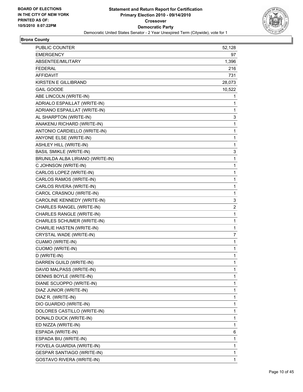

# **Bronx County**

| PUBLIC COUNTER                    | 52,128      |
|-----------------------------------|-------------|
| <b>EMERGENCY</b>                  | 97          |
| ABSENTEE/MILITARY                 | 1,396       |
| <b>FEDERAL</b>                    | 216         |
| AFFIDAVIT                         | 731         |
| <b>KIRSTEN E GILLIBRAND</b>       | 28,073      |
| <b>GAIL GOODE</b>                 | 10,522      |
| ABE LINCOLN (WRITE-IN)            | 1           |
| ADRIALO ESPAILLAT (WRITE-IN)      | 1           |
| ADRIANO ESPAILLAT (WRITE-IN)      | 1           |
| AL SHARPTON (WRITE-IN)            | 3           |
| ANAKENU RICHARD (WRITE-IN)        | 1           |
| ANTONIO CARDIELLO (WRITE-IN)      | 1           |
| ANYONE ELSE (WRITE-IN)            | 1           |
| <b>ASHLEY HILL (WRITE-IN)</b>     | 1           |
| <b>BASIL SMIKLE (WRITE-IN)</b>    | 3           |
| BRUNILDA ALBA LIRIANO (WRITE-IN)  | 1           |
| C JOHNSON (WRITE-IN)              | 1           |
| CARLOS LOPEZ (WRITE-IN)           | 1           |
| CARLOS RAMOS (WRITE-IN)           | 1           |
| CARLOS RIVERA (WRITE-IN)          | 1           |
| CAROL CRASNOU (WRITE-IN)          | 1           |
| CAROLINE KENNEDY (WRITE-IN)       | 3           |
| CHARLES RANGEL (WRITE-IN)         | 2           |
| CHARLES RANGLE (WRITE-IN)         | 1           |
| CHARLES SCHUMER (WRITE-IN)        | 1           |
| CHARLIE HASTEN (WRITE-IN)         | 1           |
| CRYSTAL WADE (WRITE-IN)           | 7           |
| CUAMO (WRITE-IN)                  | 1           |
| CUOMO (WRITE-IN)                  | 1           |
| D (WRITE-IN)                      | 1           |
| DARREN GUILD (WRITE-IN)           | 1           |
| DAVID MALPASS (WRITE-IN)          | 1           |
| DENNIS BOYLE (WRITE-IN)           | 1           |
| DIANE SCUOPPO (WRITE-IN)          | 1           |
| DIAZ JUNIOR (WRITE-IN)            | 1           |
| DIAZ R. (WRITE-IN)                | 1           |
| DIO GUARDIO (WRITE-IN)            | 1           |
| DOLORES CASTILLO (WRITE-IN)       | 1           |
| DONALD DUCK (WRITE-IN)            | 1           |
| ED NIZZA (WRITE-IN)               | 1           |
| ESPADA (WRITE-IN)                 | 6           |
| ESPADA BIU (WRITE-IN)             | $\mathbf 1$ |
| FIOVELA GUARDIA (WRITE-IN)        | 1           |
| <b>GESPAR SANTIAGO (WRITE-IN)</b> | 1           |
| GOSTAVO RIVERA (WRITE-IN)         | 1           |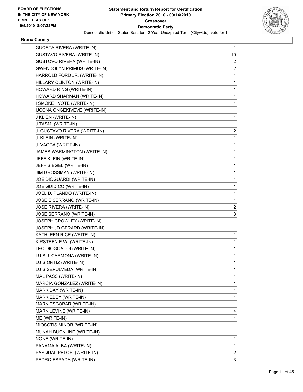

# **Bronx County**

| <b>GUQSTA RIVERA (WRITE-IN)</b>     | 1  |
|-------------------------------------|----|
| <b>GUSTAVO RIVERA (WRITE-IN)</b>    | 10 |
| <b>GUSTOVO RIVERA (WRITE-IN)</b>    | 2  |
| <b>GWENDOLYN PRIMUS (WRITE-IN)</b>  | 2  |
| HARROLD FORD JR. (WRITE-IN)         | 1  |
| HILLARY CLINTON (WRITE-IN)          | 1  |
| HOWARD RING (WRITE-IN)              | 1  |
| HOWARD SHARMAN (WRITE-IN)           | 1  |
| I SMOKE I VOTE (WRITE-IN)           | 1  |
| <b>IJCONA ONGEKIVEVE (WRITE-IN)</b> | 1  |
| J KLIEN (WRITE-IN)                  | 1  |
| J TASMI (WRITE-IN)                  | 1  |
| J. GUSTAVO RIVERA (WRITE-IN)        | 2  |
| J. KLEIN (WRITE-IN)                 | 1  |
| J. VACCA (WRITE-IN)                 | 1  |
| JAMES WARMINGTON (WRITE-IN)         | 1  |
| JEFF KLEIN (WRITE-IN)               | 1  |
| JEFF SIEGEL (WRITE-IN)              | 1  |
| JIM GROSSMAN (WRITE-IN)             | 1  |
| JOE DIOGUARDI (WRITE-IN)            | 1  |
| JOE GUIDICO (WRITE-IN)              | 1  |
| JOEL D. PLANDO (WRITE-IN)           | 1  |
| JOSE E SERRANO (WRITE-IN)           | 1  |
| JOSE RIVERA (WRITE-IN)              | 2  |
| JOSE SERRANO (WRITE-IN)             | 3  |
| JOSEPH CROWLEY (WRITE-IN)           | 1  |
| JOSEPH JD GERARD (WRITE-IN)         | 1  |
| KATHLEEN RICE (WRITE-IN)            | 1  |
| KIRSTEEN E.W. (WRITE-IN)            | 1  |
| LEO DIOGOADDI (WRITE-IN)            | 1  |
| LUIS J. CARMONA (WRITE-IN)          | 1  |
| LUIS ORTIZ (WRITE-IN)               | 1  |
| LUIS SEPULVEDA (WRITE-IN)           | 1  |
| MAL PASS (WRITE-IN)                 | 1  |
| MARCIA GONZALEZ (WRITE-IN)          | 1  |
| MARK BAY (WRITE-IN)                 | 1  |
| MARK EBEY (WRITE-IN)                | 1  |
| MARK ESCOBAR (WRITE-IN)             | 1  |
| MARK LEVINE (WRITE-IN)              | 4  |
| ME (WRITE-IN)                       | 1  |
| MIOSOTIS MINOR (WRITE-IN)           | 1  |
| MUNAH BUCKLINE (WRITE-IN)           | 1  |
| NONE (WRITE-IN)                     | 1  |
| PANAMA ALBA (WRITE-IN)              | 1  |
| PASQUAL PELOSI (WRITE-IN)           | 2  |
| PEDRO ESPADA (WRITE-IN)             | 3  |
|                                     |    |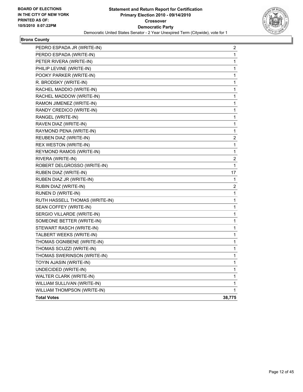

# **Bronx County**

| PEDRO ESPADA JR (WRITE-IN)     | 2            |
|--------------------------------|--------------|
| PERDO ESPADA (WRITE-IN)        | 1            |
| PETER RIVERA (WRITE-IN)        | 1            |
| PHILIP LEVINE (WRITE-IN)       | 1            |
| POOKY PARKER (WRITE-IN)        | 1            |
| R. BRODSKY (WRITE-IN)          | 1            |
| RACHEL MADDIO (WRITE-IN)       | 1            |
| RACHEL MADDOW (WRITE-IN)       | 1            |
| RAMON JIMENEZ (WRITE-IN)       | 1            |
| RANDY CREDICO (WRITE-IN)       | 1            |
| RANGEL (WRITE-IN)              | 1            |
| RAVEN DIAZ (WRITE-IN)          | 1            |
| RAYMOND PENA (WRITE-IN)        | 1            |
| REUBEN DIAZ (WRITE-IN)         | 2            |
| REX WESTON (WRITE-IN)          | 1            |
| REYMOND RAMOS (WRITE-IN)       | 1            |
| RIVERA (WRITE-IN)              | 2            |
| ROBERT DELGROSSO (WRITE-IN)    | 1            |
| RUBEN DIAZ (WRITE-IN)          | 17           |
| RUBEN DIAZ JR (WRITE-IN)       | 1            |
| RUBIN DIAZ (WRITE-IN)          | 2            |
| RUNEN D (WRITE-IN)             | 1            |
| RUTH HASSELL THOMAS (WRITE-IN) | 1            |
| SEAN COFFEY (WRITE-IN)         | 1            |
| SERGIO VILLARDE (WRITE-IN)     | 1            |
| SOMEONE BETTER (WRITE-IN)      | 1            |
| STEWART RASCH (WRITE-IN)       | 1            |
| TALBERT WEEKS (WRITE-IN)       | 1            |
| THOMAS OGNIBENE (WRITE-IN)     | 1            |
| THOMAS SCUZZI (WRITE-IN)       | 1            |
| THOMAS SWERINSON (WRITE-IN)    | 1            |
| TOYIN AJASIN (WRITE-IN)        | 1            |
| UNDECIDED (WRITE-IN)           | 1            |
| WALTER CLARK (WRITE-IN)        | 1            |
| WILLIAM SULLIVAN (WRITE-IN)    | 1            |
| WILLIAM THOMPSON (WRITE-IN)    | $\mathbf{1}$ |
| <b>Total Votes</b>             | 38,775       |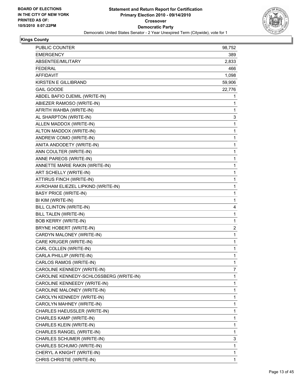

| PUBLIC COUNTER                          | 98,752       |
|-----------------------------------------|--------------|
| <b>EMERGENCY</b>                        | 389          |
| ABSENTEE/MILITARY                       | 2,833        |
| <b>FEDERAL</b>                          | 466          |
| <b>AFFIDAVIT</b>                        | 1,098        |
| KIRSTEN E GILLIBRAND                    | 59,906       |
| <b>GAIL GOODE</b>                       | 22,776       |
| ABDEL BAFIO DJEMIL (WRITE-IN)           | 1            |
| ABIEZER RAMOSO (WRITE-IN)               | 1            |
| AFRITH WAHBA (WRITE-IN)                 | 1            |
| AL SHARPTON (WRITE-IN)                  | 3            |
| ALLEN MADDOX (WRITE-IN)                 | 1            |
| ALTON MADDOX (WRITE-IN)                 | 1            |
| ANDREW COMO (WRITE-IN)                  | 1            |
| ANITA ANDODETY (WRITE-IN)               | 1            |
| ANN COULTER (WRITE-IN)                  | 1            |
| ANNE PAREOS (WRITE-IN)                  | 1            |
| ANNETTE MARIE RAKIN (WRITE-IN)          | 1            |
| ART SCHELLY (WRITE-IN)                  | 1            |
| ATTIRUS FINCH (WRITE-IN)                | 1            |
| AVROHAM ELIEZEL LIPKIND (WRITE-IN)      | 1            |
| <b>BASY PRICE (WRITE-IN)</b>            | 1            |
| BI KIM (WRITE-IN)                       | 1            |
| BILL CLINTON (WRITE-IN)                 | 4            |
| BILL TALEN (WRITE-IN)                   | 1            |
| <b>BOB KERRY (WRITE-IN)</b>             | 1            |
| BRYNE HOBERT (WRITE-IN)                 | 2            |
| CARDYN MALONEY (WRITE-IN)               | 1            |
| CARE KRUGER (WRITE-IN)                  | 1            |
| CARL COLLEN (WRITE-IN)                  | 1            |
| CARLA PHILLIP (WRITE-IN)                | 1            |
| CARLOS RAMOS (WRITE-IN)                 | $\mathbf{1}$ |
| CAROLINE KENNEDY (WRITE-IN)             | 7            |
| CAROLINE KENNEDY-SCHLOSSBERG (WRITE-IN) | 1            |
| CAROLINE KENNEEDY (WRITE-IN)            | 1            |
| CAROLINE MALONEY (WRITE-IN)             | 1            |
| CAROLYN KENNEDY (WRITE-IN)              | 1            |
| CAROLYN MAHNEY (WRITE-IN)               | 1            |
| CHARLES HAEUSSLER (WRITE-IN)            | 1            |
| CHARLES KAMP (WRITE-IN)                 | 1            |
| CHARLES KLEIN (WRITE-IN)                | 1            |
| CHARLES RANGEL (WRITE-IN)               | 1            |
| CHARLES SCHUMER (WRITE-IN)              | 3            |
| CHARLES SCHUMO (WRITE-IN)               | 1            |
| CHERYL A KNIGHT (WRITE-IN)              | 1            |
| CHRIS CHRISTIE (WRITE-IN)               | 1            |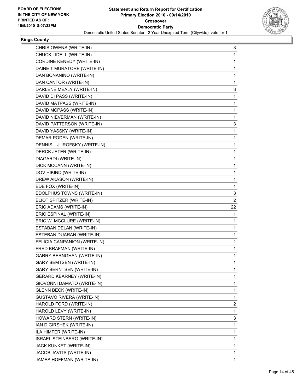

| CHRIS OWENS (WRITE-IN)           | 3  |
|----------------------------------|----|
| CHUCK LIDELL (WRITE-IN)          | 1  |
| CORDINE KENEDY (WRITE-IN)        | 1  |
| DAINE T MURATORE (WRITE-IN)      | 1  |
| DAN BONANINO (WRITE-IN)          | 1  |
| DAN CANTOR (WRITE-IN)            | 1  |
| DARLENE MEALY (WRITE-IN)         | 3  |
| DAVID DI PASS (WRITE-IN)         | 1  |
| DAVID MATPASS (WRITE-IN)         | 1  |
| DAVID MCPASS (WRITE-IN)          | 1  |
| DAVID NIEVERMAN (WRITE-IN)       | 1  |
| DAVID PATTERSON (WRITE-IN)       | 3  |
| DAVID YASSKY (WRITE-IN)          | 1  |
| DEMAR PODEN (WRITE-IN)           | 1  |
| DENNIS L JUROFSKY (WRITE-IN)     | 1  |
| DERCK JETER (WRITE-IN)           | 1  |
| DIAGARDI (WRITE-IN)              | 1  |
| DICK MCCANN (WRITE-IN)           | 1  |
| DOV HIKIND (WRITE-IN)            | 1  |
| DREW AKASON (WRITE-IN)           | 1  |
| EDE FOX (WRITE-IN)               | 1  |
| EDOLPHUS TOWNS (WRITE-IN)        | 3  |
| ELIOT SPITZER (WRITE-IN)         | 2  |
| ERIC ADAMS (WRITE-IN)            | 22 |
| ERIC ESPINAL (WRITE-IN)          | 1  |
| ERIC W. MCCLURE (WRITE-IN)       | 1  |
| ESTABAN DELAN (WRITE-IN)         | 1  |
| ESTEBAN DUARAN (WRITE-IN)        | 1  |
| FELICIA CANPANION (WRITE-IN)     | 1  |
| FRED BRAFMAN (WRITE-IN)          | 1  |
| <b>GARRY BERNGHAN (WRITE-IN)</b> | 1  |
| <b>GARY BEMTSEN (WRITE-IN)</b>   | 1  |
| <b>GARY BERNTSEN (WRITE-IN)</b>  | 1  |
| <b>GERARD KEARNEY (WRITE-IN)</b> | 1  |
| GIOVONNI DAMATO (WRITE-IN)       | 1  |
| <b>GLENN BECK (WRITE-IN)</b>     | 1  |
| GUSTAVO RIVERA (WRITE-IN)        | 1  |
| HAROLD FORD (WRITE-IN)           | 2  |
| HAROLD LEVY (WRITE-IN)           | 1  |
| HOWARD STERN (WRITE-IN)          | 3  |
| IAN D GIRSHEK (WRITE-IN)         | 1  |
| ILA HIMFER (WRITE-IN)            | 1  |
| ISRAEL STEINBERG (WRITE-IN)      | 1  |
| JACK KUNKET (WRITE-IN)           | 1  |
| JACOB JAVITS (WRITE-IN)          | 1  |
| JAMES HOFFMAN (WRITE-IN)         | 1  |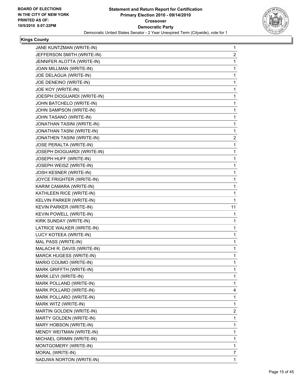

|                                | 1            |
|--------------------------------|--------------|
| JEFFERSON SMITH (WRITE-IN)     | 2            |
| JENNIFER ALOTTA (WRITE-IN)     | 1            |
| JOAN MILLMAN (WRITE-IN)        | 1            |
| JOE DELAGUA (WRITE-IN)         | 1            |
| JOE DENEINO (WRITE-IN)         | 1            |
| JOE KOY (WRITE-IN)             | 1            |
| JOESPH DIOGUARDI (WRITE-IN)    | 1            |
| JOHN BATCHELO (WRITE-IN)       | 1            |
| JOHN SAMPSON (WRITE-IN)        | $\mathbf 1$  |
| JOHN TASANO (WRITE-IN)         | 1            |
| JONATHAN TASINI (WRITE-IN)     | 1            |
| JONATHAN TASNI (WRITE-IN)      | 1            |
| JONATHEN TASINI (WRITE-IN)     | 2            |
| JOSE PERALTA (WRITE-IN)        | 1            |
| JOSEPH DIOGUARDI (WRITE-IN)    | 1            |
| JOSEPH HUFF (WRITE-IN)         | 1            |
| JOSEPH WEISZ (WRITE-IN)        | 1            |
| JOSH KESNER (WRITE-IN)         | 1            |
| JOYCE FRIGHTER (WRITE-IN)      | 1            |
| KARIM CAMARA (WRITE-IN)        | 1            |
| KATHLEEN RICE (WRITE-IN)       | $\mathbf 1$  |
| KELVIN PARKER (WRITE-IN)       | 1            |
| KEVIN PARKER (WRITE-IN)        | 11           |
| KEVIN POWELL (WRITE-IN)        | 1            |
| KIRK SUNDAY (WRITE-IN)         | 1            |
|                                | 1            |
| LATRICE WALKER (WRITE-IN)      |              |
| LUCY KOTEEA (WRITE-IN)         | 1            |
| MAL PASS (WRITE-IN)            | 1            |
| MALACHI R. DAVIS (WRITE-IN)    | 1            |
| <b>MARCK HUGESS (WRITE-IN)</b> | 1            |
| MARIO COUMO (WRITE-IN)         | 1            |
| MARK GRIFFTH (WRITE-IN)        | 1            |
| MARK LEVI (WRITE-IN)           | 1            |
| MARK POLLAND (WRITE-IN)        | 1            |
| MARK POLLARD (WRITE-IN)        | 4            |
| MARK POLLARO (WRITE-IN)        | 1            |
| MARK WITZ (WRITE-IN)           | 1            |
| MARTIN GOLDEN (WRITE-IN)       | 2            |
| MARTY GOLDEN (WRITE-IN)        | 1            |
| MARY HOBSON (WRITE-IN)         | 1            |
| MENDY WEITMAN (WRITE-IN)       | 1            |
| MICHAEL GRIMIN (WRITE-IN)      | $\mathbf{1}$ |
| MONTGOMERY (WRITE-IN)          | 1            |
| MORAL (WRITE-IN)               | 7            |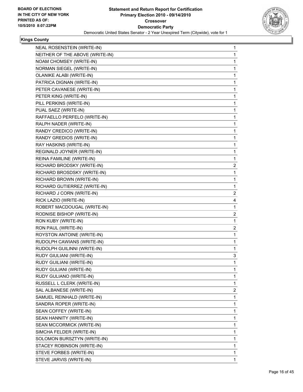

| <b>NEAL ROSENSTEIN (WRITE-IN)</b> | 1 |
|-----------------------------------|---|
| NEITHER OF THE ABOVE (WRITE-IN)   | 1 |
| NOAM CHOMSEY (WRITE-IN)           | 1 |
| NORMAN SIEGEL (WRITE-IN)          | 1 |
| OLANIKE ALABI (WRITE-IN)          | 1 |
| PATRICA DIGNAN (WRITE-IN)         | 1 |
| PETER CAVANESE (WRITE-IN)         | 1 |
| PETER KING (WRITE-IN)             | 1 |
| PILL PERKINS (WRITE-IN)           | 1 |
| PUAL SAEZ (WRITE-IN)              | 1 |
| RAFFAELLO PERFELO (WRITE-IN)      | 1 |
| RALPH NADER (WRITE-IN)            | 1 |
| RANDY CREDICO (WRITE-IN)          | 1 |
| RANDY GREDIOS (WRITE-IN)          | 1 |
| RAY HASKINS (WRITE-IN)            | 1 |
| REGINALD JOYNER (WRITE-IN)        | 1 |
| REINA FAMILINE (WRITE-IN)         | 1 |
| RICHARD BRODSKY (WRITE-IN)        | 2 |
| RICHARD BROSDSKY (WRITE-IN)       | 1 |
| RICHARD BROWN (WRITE-IN)          | 1 |
| RICHARD GUTIERREZ (WRITE-IN)      | 1 |
| RICHARD J CORN (WRITE-IN)         | 2 |
| RICK LAZIO (WRITE-IN)             | 4 |
| ROBERT MACDOUGAL (WRITE-IN)       | 1 |
| RODNISE BISHOP (WRITE-IN)         | 2 |
| RON KUBY (WRITE-IN)               | 1 |
| RON PAUL (WRITE-IN)               | 2 |
| ROYSTON ANTOINE (WRITE-IN)        | 1 |
| RUDOLPH CAWIANS (WRITE-IN)        | 1 |
| RUDOLPH GUILINNI (WRITE-IN)       | 1 |
| RUDY GIULIANI (WRITE-IN)          | 3 |
| RUDY GUILIANI (WRITE-IN)          | 1 |
| RUDY GULIANI (WRITE-IN)           | 1 |
| RUDY GULIANO (WRITE-IN)           | 1 |
| RUSSELL L CLERK (WRITE-IN)        | 1 |
| SAL ALBANESE (WRITE-IN)           | 2 |
| SAMUEL REINHALD (WRITE-IN)        | 1 |
| SANDRA ROPER (WRITE-IN)           | 1 |
| SEAN COFFEY (WRITE-IN)            | 1 |
| SEAN HANNITY (WRITE-IN)           | 1 |
| SEAN MCCORMICK (WRITE-IN)         | 1 |
| SIMCHA FELDER (WRITE-IN)          | 1 |
| SOLOMON BURSZTYN (WRITE-IN)       | 1 |
| STACEY ROBINSON (WRITE-IN)        | 1 |
| STEVE FORBES (WRITE-IN)           | 1 |
| STEVE JARVIS (WRITE-IN)           | 1 |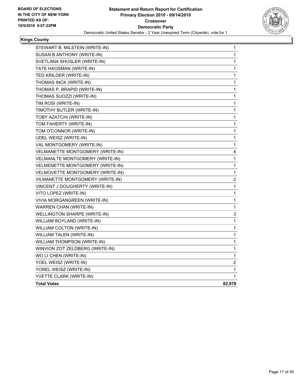

| STEWART B. MILSTEIN (WRITE-IN)      | 1      |
|-------------------------------------|--------|
| SUSAN B ANTHONY (WRITE-IN)          | 1      |
| SVETLANA SHUSLER (WRITE-IN)         | 1      |
| TATE HAOSMAN (WRITE-IN)             | 1      |
| TED KRILDER (WRITE-IN)              | 1      |
| THOMAS INCK (WRITE-IN)              | 1      |
| THOMAS P. BRAPID (WRITE-IN)         | 1      |
| THOMAS SUOZZI (WRITE-IN)            | 1      |
| TIM ROSI (WRITE-IN)                 | 1      |
| TIMOTHY BUTLER (WRITE-IN)           | 1      |
| TOBY AZATCHI (WRITE-IN)             | 1      |
| TOM FAHERTY (WRITE-IN)              | 1      |
| TOM O'CONNOR (WRITE-IN)             | 1      |
| UDEL WEISZ (WRITE-IN)               | 1      |
| VAL MONTGOMERY (WRITE-IN)           | 1      |
| VELMANETTE MONTGOMERY (WRITE-IN)    | 4      |
| VELMANLTE MONTGOMERY (WRITE-IN)     | 1      |
| VELMENETTE MONTGOMERY (WRITE-IN)    | 1      |
| VELMOVETTE MONTGOMERY (WRITE-IN)    | 1      |
| VILMANETTE MONTGOMERY (WRITE-IN)    | 2      |
| VINCENT J DOUGHERTY (WRITE-IN)      | 1      |
| VITO LOPEZ (WRITE-IN)               | 1      |
| VIVIA MORGANGREEN (WRITE-IN)        | 1      |
| <b>WARREN CHAN (WRITE-IN)</b>       | 1      |
| <b>WELLINGTON SHARPE (WRITE-IN)</b> | 3      |
| WILLIAM BOYLAND (WRITE-IN)          | 1      |
| WILLIAM COLTON (WRITE-IN)           | 1      |
| <b>WILLIAM TALEN (WRITE-IN)</b>     | 1      |
| WILLIAM THOMPSON (WRITE-IN)         | 1      |
| WINVION ZOT ZELDBERG (WRITE-IN)     | 1      |
| WO LI CHEN (WRITE-IN)               | 1      |
| YOEL WEISZ (WRITE-IN)               | 2      |
| YOREL WEISZ (WRITE-IN)              | 1      |
| YVETTE CLARK (WRITE-IN)             | 1      |
| <b>Total Votes</b>                  | 82,979 |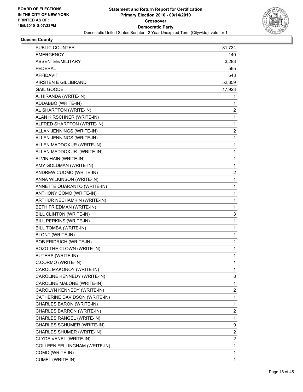

| <b>EMERGENCY</b><br>140<br>ABSENTEE/MILITARY<br>3,283<br><b>FEDERAL</b><br>565<br>AFFIDAVIT<br>543<br>KIRSTEN E GILLIBRAND<br>52,359<br><b>GAIL GOODE</b><br>17,923<br>A. HIRANDA (WRITE-IN)<br>1<br>ADDABBO (WRITE-IN)<br>1<br>AL SHARPTON (WRITE-IN)<br>2<br>ALAN KIRSCHNER (WRITE-IN)<br>1<br>ALFRED SHARPTON (WRITE-IN)<br>1<br>ALLAN JENNINGS (WRITE-IN)<br>2<br>ALLEN JENNINGS (WRITE-IN)<br>1<br>ALLEN MADDOX JR (WRITE-IN)<br>1<br>ALLEN MADDOX JR. (WRITE-IN)<br>1<br>ALVIN HAIN (WRITE-IN)<br>1<br>AMY GOLDMAN (WRITE-IN)<br>1<br>ANDREW CUOMO (WRITE-IN)<br>2<br>ANNA WILKINSON (WRITE-IN)<br>1<br>ANNETTE QUARANTO (WRITE-IN)<br>1<br>ANTHONY COMO (WRITE-IN)<br>1<br>ARTHUR NECHAMKIN (WRITE-IN)<br>1<br>BETH FRIEDMAN (WRITE-IN)<br>1<br>BILL CLINTON (WRITE-IN)<br>3<br>1<br>BILL PERKINS (WRITE-IN)<br>BILL TOMBA (WRITE-IN)<br>1<br><b>BLONT (WRITE-IN)</b><br>1<br><b>BOB FRIDRICH (WRITE-IN)</b><br>1<br>BOZO THE CLOWN (WRITE-IN)<br>1<br><b>BUTERS (WRITE-IN)</b><br>1<br>1<br>C.CORMO (WRITE-IN)<br>CAROL MAKONOY (WRITE-IN)<br>1<br>CAROLINE KENNEDY (WRITE-IN)<br>8<br>1<br>CAROLINE MALONE (WRITE-IN)<br>2<br>CAROLYN KENNEDY (WRITE-IN)<br>CATHERINE DAVIDSON (WRITE-IN)<br>1<br>1<br>CHARLES BARON (WRITE-IN)<br>CHARLES BARRON (WRITE-IN)<br>2<br>CHARLES RANGEL (WRITE-IN)<br>1<br>9<br>CHARLES SCHUMER (WRITE-IN)<br>2<br>CHARLES SHUMER (WRITE-IN)<br>CLYDE VANEL (WRITE-IN)<br>2<br>1<br>COLLEEN FELLINGHAM (WRITE-IN)<br>COMO (WRITE-IN)<br>1 | PUBLIC COUNTER          | 81,734 |
|--------------------------------------------------------------------------------------------------------------------------------------------------------------------------------------------------------------------------------------------------------------------------------------------------------------------------------------------------------------------------------------------------------------------------------------------------------------------------------------------------------------------------------------------------------------------------------------------------------------------------------------------------------------------------------------------------------------------------------------------------------------------------------------------------------------------------------------------------------------------------------------------------------------------------------------------------------------------------------------------------------------------------------------------------------------------------------------------------------------------------------------------------------------------------------------------------------------------------------------------------------------------------------------------------------------------------------------------------------------------------------------------------------------------------------------------------------------------------------|-------------------------|--------|
|                                                                                                                                                                                                                                                                                                                                                                                                                                                                                                                                                                                                                                                                                                                                                                                                                                                                                                                                                                                                                                                                                                                                                                                                                                                                                                                                                                                                                                                                                |                         |        |
|                                                                                                                                                                                                                                                                                                                                                                                                                                                                                                                                                                                                                                                                                                                                                                                                                                                                                                                                                                                                                                                                                                                                                                                                                                                                                                                                                                                                                                                                                |                         |        |
|                                                                                                                                                                                                                                                                                                                                                                                                                                                                                                                                                                                                                                                                                                                                                                                                                                                                                                                                                                                                                                                                                                                                                                                                                                                                                                                                                                                                                                                                                |                         |        |
|                                                                                                                                                                                                                                                                                                                                                                                                                                                                                                                                                                                                                                                                                                                                                                                                                                                                                                                                                                                                                                                                                                                                                                                                                                                                                                                                                                                                                                                                                |                         |        |
|                                                                                                                                                                                                                                                                                                                                                                                                                                                                                                                                                                                                                                                                                                                                                                                                                                                                                                                                                                                                                                                                                                                                                                                                                                                                                                                                                                                                                                                                                |                         |        |
|                                                                                                                                                                                                                                                                                                                                                                                                                                                                                                                                                                                                                                                                                                                                                                                                                                                                                                                                                                                                                                                                                                                                                                                                                                                                                                                                                                                                                                                                                |                         |        |
|                                                                                                                                                                                                                                                                                                                                                                                                                                                                                                                                                                                                                                                                                                                                                                                                                                                                                                                                                                                                                                                                                                                                                                                                                                                                                                                                                                                                                                                                                |                         |        |
|                                                                                                                                                                                                                                                                                                                                                                                                                                                                                                                                                                                                                                                                                                                                                                                                                                                                                                                                                                                                                                                                                                                                                                                                                                                                                                                                                                                                                                                                                |                         |        |
|                                                                                                                                                                                                                                                                                                                                                                                                                                                                                                                                                                                                                                                                                                                                                                                                                                                                                                                                                                                                                                                                                                                                                                                                                                                                                                                                                                                                                                                                                |                         |        |
|                                                                                                                                                                                                                                                                                                                                                                                                                                                                                                                                                                                                                                                                                                                                                                                                                                                                                                                                                                                                                                                                                                                                                                                                                                                                                                                                                                                                                                                                                |                         |        |
|                                                                                                                                                                                                                                                                                                                                                                                                                                                                                                                                                                                                                                                                                                                                                                                                                                                                                                                                                                                                                                                                                                                                                                                                                                                                                                                                                                                                                                                                                |                         |        |
|                                                                                                                                                                                                                                                                                                                                                                                                                                                                                                                                                                                                                                                                                                                                                                                                                                                                                                                                                                                                                                                                                                                                                                                                                                                                                                                                                                                                                                                                                |                         |        |
|                                                                                                                                                                                                                                                                                                                                                                                                                                                                                                                                                                                                                                                                                                                                                                                                                                                                                                                                                                                                                                                                                                                                                                                                                                                                                                                                                                                                                                                                                |                         |        |
|                                                                                                                                                                                                                                                                                                                                                                                                                                                                                                                                                                                                                                                                                                                                                                                                                                                                                                                                                                                                                                                                                                                                                                                                                                                                                                                                                                                                                                                                                |                         |        |
|                                                                                                                                                                                                                                                                                                                                                                                                                                                                                                                                                                                                                                                                                                                                                                                                                                                                                                                                                                                                                                                                                                                                                                                                                                                                                                                                                                                                                                                                                |                         |        |
|                                                                                                                                                                                                                                                                                                                                                                                                                                                                                                                                                                                                                                                                                                                                                                                                                                                                                                                                                                                                                                                                                                                                                                                                                                                                                                                                                                                                                                                                                |                         |        |
|                                                                                                                                                                                                                                                                                                                                                                                                                                                                                                                                                                                                                                                                                                                                                                                                                                                                                                                                                                                                                                                                                                                                                                                                                                                                                                                                                                                                                                                                                |                         |        |
|                                                                                                                                                                                                                                                                                                                                                                                                                                                                                                                                                                                                                                                                                                                                                                                                                                                                                                                                                                                                                                                                                                                                                                                                                                                                                                                                                                                                                                                                                |                         |        |
|                                                                                                                                                                                                                                                                                                                                                                                                                                                                                                                                                                                                                                                                                                                                                                                                                                                                                                                                                                                                                                                                                                                                                                                                                                                                                                                                                                                                                                                                                |                         |        |
|                                                                                                                                                                                                                                                                                                                                                                                                                                                                                                                                                                                                                                                                                                                                                                                                                                                                                                                                                                                                                                                                                                                                                                                                                                                                                                                                                                                                                                                                                |                         |        |
|                                                                                                                                                                                                                                                                                                                                                                                                                                                                                                                                                                                                                                                                                                                                                                                                                                                                                                                                                                                                                                                                                                                                                                                                                                                                                                                                                                                                                                                                                |                         |        |
|                                                                                                                                                                                                                                                                                                                                                                                                                                                                                                                                                                                                                                                                                                                                                                                                                                                                                                                                                                                                                                                                                                                                                                                                                                                                                                                                                                                                                                                                                |                         |        |
|                                                                                                                                                                                                                                                                                                                                                                                                                                                                                                                                                                                                                                                                                                                                                                                                                                                                                                                                                                                                                                                                                                                                                                                                                                                                                                                                                                                                                                                                                |                         |        |
|                                                                                                                                                                                                                                                                                                                                                                                                                                                                                                                                                                                                                                                                                                                                                                                                                                                                                                                                                                                                                                                                                                                                                                                                                                                                                                                                                                                                                                                                                |                         |        |
|                                                                                                                                                                                                                                                                                                                                                                                                                                                                                                                                                                                                                                                                                                                                                                                                                                                                                                                                                                                                                                                                                                                                                                                                                                                                                                                                                                                                                                                                                |                         |        |
|                                                                                                                                                                                                                                                                                                                                                                                                                                                                                                                                                                                                                                                                                                                                                                                                                                                                                                                                                                                                                                                                                                                                                                                                                                                                                                                                                                                                                                                                                |                         |        |
|                                                                                                                                                                                                                                                                                                                                                                                                                                                                                                                                                                                                                                                                                                                                                                                                                                                                                                                                                                                                                                                                                                                                                                                                                                                                                                                                                                                                                                                                                |                         |        |
|                                                                                                                                                                                                                                                                                                                                                                                                                                                                                                                                                                                                                                                                                                                                                                                                                                                                                                                                                                                                                                                                                                                                                                                                                                                                                                                                                                                                                                                                                |                         |        |
|                                                                                                                                                                                                                                                                                                                                                                                                                                                                                                                                                                                                                                                                                                                                                                                                                                                                                                                                                                                                                                                                                                                                                                                                                                                                                                                                                                                                                                                                                |                         |        |
|                                                                                                                                                                                                                                                                                                                                                                                                                                                                                                                                                                                                                                                                                                                                                                                                                                                                                                                                                                                                                                                                                                                                                                                                                                                                                                                                                                                                                                                                                |                         |        |
|                                                                                                                                                                                                                                                                                                                                                                                                                                                                                                                                                                                                                                                                                                                                                                                                                                                                                                                                                                                                                                                                                                                                                                                                                                                                                                                                                                                                                                                                                |                         |        |
|                                                                                                                                                                                                                                                                                                                                                                                                                                                                                                                                                                                                                                                                                                                                                                                                                                                                                                                                                                                                                                                                                                                                                                                                                                                                                                                                                                                                                                                                                |                         |        |
|                                                                                                                                                                                                                                                                                                                                                                                                                                                                                                                                                                                                                                                                                                                                                                                                                                                                                                                                                                                                                                                                                                                                                                                                                                                                                                                                                                                                                                                                                |                         |        |
|                                                                                                                                                                                                                                                                                                                                                                                                                                                                                                                                                                                                                                                                                                                                                                                                                                                                                                                                                                                                                                                                                                                                                                                                                                                                                                                                                                                                                                                                                |                         |        |
|                                                                                                                                                                                                                                                                                                                                                                                                                                                                                                                                                                                                                                                                                                                                                                                                                                                                                                                                                                                                                                                                                                                                                                                                                                                                                                                                                                                                                                                                                |                         |        |
|                                                                                                                                                                                                                                                                                                                                                                                                                                                                                                                                                                                                                                                                                                                                                                                                                                                                                                                                                                                                                                                                                                                                                                                                                                                                                                                                                                                                                                                                                |                         |        |
|                                                                                                                                                                                                                                                                                                                                                                                                                                                                                                                                                                                                                                                                                                                                                                                                                                                                                                                                                                                                                                                                                                                                                                                                                                                                                                                                                                                                                                                                                |                         |        |
|                                                                                                                                                                                                                                                                                                                                                                                                                                                                                                                                                                                                                                                                                                                                                                                                                                                                                                                                                                                                                                                                                                                                                                                                                                                                                                                                                                                                                                                                                |                         |        |
|                                                                                                                                                                                                                                                                                                                                                                                                                                                                                                                                                                                                                                                                                                                                                                                                                                                                                                                                                                                                                                                                                                                                                                                                                                                                                                                                                                                                                                                                                |                         |        |
|                                                                                                                                                                                                                                                                                                                                                                                                                                                                                                                                                                                                                                                                                                                                                                                                                                                                                                                                                                                                                                                                                                                                                                                                                                                                                                                                                                                                                                                                                |                         |        |
|                                                                                                                                                                                                                                                                                                                                                                                                                                                                                                                                                                                                                                                                                                                                                                                                                                                                                                                                                                                                                                                                                                                                                                                                                                                                                                                                                                                                                                                                                |                         |        |
|                                                                                                                                                                                                                                                                                                                                                                                                                                                                                                                                                                                                                                                                                                                                                                                                                                                                                                                                                                                                                                                                                                                                                                                                                                                                                                                                                                                                                                                                                |                         |        |
|                                                                                                                                                                                                                                                                                                                                                                                                                                                                                                                                                                                                                                                                                                                                                                                                                                                                                                                                                                                                                                                                                                                                                                                                                                                                                                                                                                                                                                                                                |                         |        |
|                                                                                                                                                                                                                                                                                                                                                                                                                                                                                                                                                                                                                                                                                                                                                                                                                                                                                                                                                                                                                                                                                                                                                                                                                                                                                                                                                                                                                                                                                |                         |        |
|                                                                                                                                                                                                                                                                                                                                                                                                                                                                                                                                                                                                                                                                                                                                                                                                                                                                                                                                                                                                                                                                                                                                                                                                                                                                                                                                                                                                                                                                                | <b>CUMEL (WRITE-IN)</b> | 1      |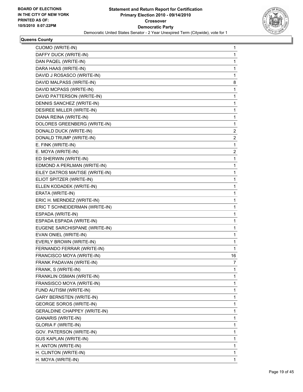

| <b>CUOMO (WRITE-IN)</b>             | 1  |
|-------------------------------------|----|
| DAFFY DUCK (WRITE-IN)               | 1  |
| DAN PAQEL (WRITE-IN)                | 1  |
| DARA HAAS (WRITE-IN)                | 1  |
| DAVID J ROSASCO (WRITE-IN)          | 1  |
| DAVID MALPASS (WRITE-IN)            | 8  |
| DAVID MCPASS (WRITE-IN)             | 1  |
| DAVID PATTERSON (WRITE-IN)          | 1  |
| DENNIS SANCHEZ (WRITE-IN)           | 1  |
| DESIREE MILLER (WRITE-IN)           | 1  |
| DIANA REINA (WRITE-IN)              | 1  |
| DOLORES GREENBERG (WRITE-IN)        | 1  |
| DONALD DUCK (WRITE-IN)              | 2  |
| DONALD TRUMP (WRITE-IN)             | 2  |
| E. FINK (WRITE-IN)                  | 1  |
| E. MOYA (WRITE-IN)                  | 2  |
| ED SHERWIN (WRITE-IN)               | 1  |
| EDMOND A PERLMAN (WRITE-IN)         | 1  |
| EILEY DATROS MAITISE (WRITE-IN)     | 1  |
| ELIOT SPITZER (WRITE-IN)            | 1  |
| ELLEN KODADEK (WRITE-IN)            | 1  |
| ERATA (WRITE-IN)                    | 1  |
| ERIC H. MERNDEZ (WRITE-IN)          | 1  |
| ERIC T SCHNEIDERMAN (WRITE-IN)      | 1  |
| ESPADA (WRITE-IN)                   | 1  |
| ESPADA ESPADA (WRITE-IN)            | 1  |
| EUGENE SARCHISPANE (WRITE-IN)       | 1  |
| EVAN ONIEL (WRITE-IN)               | 1  |
| EVERLY BROWN (WRITE-IN)             | 1  |
| FERNANDO FERRAR (WRITE-IN)          | 1  |
| FRANCISCO MOYA (WRITE-IN)           | 16 |
| FRANK PADAVAN (WRITE-IN)            | 7  |
| FRANK, S (WRITE-IN)                 | 1  |
| FRANKLIN OSMAN (WRITE-IN)           | 1  |
| FRANSISCO MOYA (WRITE-IN)           | 1  |
| FUND AUTISM (WRITE-IN)              | 1  |
| <b>GARY BERNSTEN (WRITE-IN)</b>     | 1  |
| <b>GEORGE SOROS (WRITE-IN)</b>      | 1  |
| <b>GERALDINE CHAPPEY (WRITE-IN)</b> | 1  |
| GIANARIS (WRITE-IN)                 | 1  |
| <b>GLORIA F (WRITE-IN)</b>          | 1  |
| GOV. PATERSON (WRITE-IN)            | 1  |
| GUS KAPLAN (WRITE-IN)               | 1  |
| H. ANTON (WRITE-IN)                 | 1  |
| H. CLINTON (WRITE-IN)               | 1  |
| H. MOYA (WRITE-IN)                  | 1  |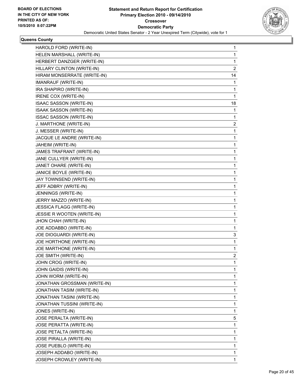

| HAROLD FORD (WRITE-IN)       | 1              |
|------------------------------|----------------|
| HELEN MARSHALL (WRITE-IN)    | 1              |
| HERBERT DANZGER (WRITE-IN)   | 1              |
| HILLARY CLINTON (WRITE-IN)   | $\overline{c}$ |
| HIRAM MONSERRATE (WRITE-IN)  | 14             |
| IMANRAUF (WRITE-IN)          | 1              |
| IRA SHAPIRO (WRITE-IN)       | 1              |
| IRENE COX (WRITE-IN)         | 1              |
| ISAAC SASSON (WRITE-IN)      | 18             |
| ISAAK SASSON (WRITE-IN)      | 1              |
| ISSAC SASSON (WRITE-IN)      | 1              |
| J. MARTHONE (WRITE-IN)       | 2              |
| J. MESSER (WRITE-IN)         | 1              |
| JACQUE LE ANDRE (WRITE-IN)   | 1              |
| JAHEIM (WRITE-IN)            | 1              |
| JAMES TRAFRANT (WRITE-IN)    | 1              |
| JANE CULLYER (WRITE-IN)      | 1              |
| JANET OHARE (WRITE-IN)       | 1              |
| JANICE BOYLE (WRITE-IN)      | 1              |
| JAY TOWNSEND (WRITE-IN)      | 1              |
| JEFF ADBRY (WRITE-IN)        | 1              |
| JENNINGS (WRITE-IN)          | 1              |
| JERRY MAZZO (WRITE-IN)       | 1              |
| JESSICA FLAGG (WRITE-IN)     | 1              |
| JESSIE R WOOTEN (WRITE-IN)   | 1              |
| JHON CHAH (WRITE-IN)         | 1              |
| JOE ADDABBO (WRITE-IN)       | 1              |
| JOE DIOGUARDI (WRITE-IN)     | 3              |
| JOE HORTHONE (WRITE-IN)      | 1              |
| JOE MARTHONE (WRITE-IN)      | 1              |
| JOE SMITH (WRITE-IN)         | 2              |
| JOHN CROG (WRITE-IN)         | 1              |
| JOHN GAIDIS (WRITE-IN)       | 1              |
| JOHN WORM (WRITE-IN)         | 1              |
| JONATHAN GROSSMAN (WRITE-IN) | 1              |
| JONATHAN TASIM (WRITE-IN)    | 1              |
| JONATHAN TASINI (WRITE-IN)   | 1              |
| JONATHAN TUSSINI (WRITE-IN)  | 1              |
| JONES (WRITE-IN)             | 1              |
| JOSE PERALTA (WRITE-IN)      | 5              |
| JOSE PERATTA (WRITE-IN)      | 1              |
| JOSE PETALTA (WRITE-IN)      | 1              |
| JOSE PIRALLA (WRITE-IN)      | 1              |
| JOSE PUEBLO (WRITE-IN)       | 1              |
| JOSEPH ADDABO (WRITE-IN)     | 1              |
| JOSEPH CROWLEY (WRITE-IN)    | 1              |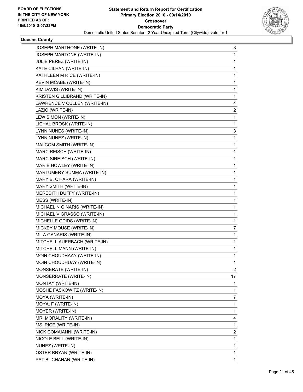

| 3            |
|--------------|
| 1            |
| 1            |
| $\mathbf{1}$ |
| 1            |
| 1            |
| 1            |
| 1            |
| 4            |
| 2            |
| 1            |
| 1            |
| 3            |
| 1            |
| 1            |
| $\mathbf{1}$ |
| 1            |
| 1            |
| 1            |
| 1            |
| 1            |
| $\mathbf{1}$ |
| 1            |
| 1            |
| 1            |
| 1            |
| 7            |
| 1            |
| 1            |
| 1            |
| 1            |
| 1            |
| 2            |
| 17           |
| 1            |
| 1            |
| 7            |
| 1            |
| 1            |
| 4            |
| 1            |
| 2            |
| 1            |
| 1            |
| 1            |
| 1            |
|              |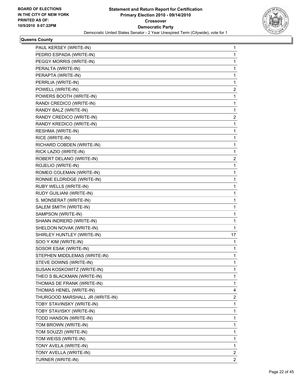

| PAUL KERSEY (WRITE-IN)          | 1                       |
|---------------------------------|-------------------------|
| PEDRO ESPADA (WRITE-IN)         | 1                       |
| PEGGY MORRIS (WRITE-IN)         | 1                       |
| PERALTA (WRITE-IN)              | 1                       |
| PERAPTA (WRITE-IN)              | 1                       |
| PERRLIA (WRITE-IN)              | 1                       |
| POWELL (WRITE-IN)               | 2                       |
| POWERS BOOTH (WRITE-IN)         | 1                       |
| RANDI CREDICO (WRITE-IN)        | 1                       |
| RANDY BALZ (WRITE-IN)           | 1                       |
| RANDY CREDICO (WRITE-IN)        | 2                       |
| RANDY KREDICO (WRITE-IN)        | 1                       |
| RESHMA (WRITE-IN)               | 1                       |
| RICE (WRITE-IN)                 | 1                       |
| RICHARD COBDEN (WRITE-IN)       | 1                       |
| RICK LAZIO (WRITE-IN)           | 1                       |
| ROBERT DELANO (WRITE-IN)        | 2                       |
| ROJELIO (WRITE-IN)              | 1                       |
| ROMEO COLEMAN (WRITE-IN)        | 1                       |
| RONNIE ELDRIDGE (WRITE-IN)      | 1                       |
| RUBY WELLS (WRITE-IN)           | 1                       |
| RUDY GUILIANI (WRITE-IN)        | 1                       |
| S. MONSERAT (WRITE-IN)          | 1                       |
| SALEM SMITH (WRITE-IN)          | 1                       |
| SAMPSON (WRITE-IN)              | 1                       |
| SHANN INDRERD (WRITE-IN)        | 1                       |
| SHELDON NOVAK (WRITE-IN)        | 1                       |
| SHIRLEY HUNTLEY (WRITE-IN)      | 17                      |
| SOO Y KIM (WRITE-IN)            | 1                       |
| SOSOR ESAK (WRITE-IN)           | 1                       |
| STEPHEN MIDDLEMAS (WRITE-IN)    | 1                       |
| STEVE DOWNS (WRITE-IN)          | 1                       |
| SUSAN KOSKOWITZ (WRITE-IN)      | 1                       |
| THEO S BLACKMAN (WRITE-IN)      | 1                       |
| THOMAS DE FRANK (WRITE-IN)      | 1                       |
| THOMAS HENEL (WRITE-IN)         | 4                       |
| THURGOOD MARSHALL JR (WRITE-IN) | 2                       |
| TOBY STAVINSKY (WRITE-IN)       | 1                       |
| TOBY STAVISKY (WRITE-IN)        | 1                       |
| TODD HANSON (WRITE-IN)          | 1                       |
| TOM BROWN (WRITE-IN)            | 1                       |
| TOM SOUZZI (WRITE-IN)           | 1                       |
| TOM WEISS (WRITE-IN)            | 1                       |
| TONY AVELA (WRITE-IN)           | 1                       |
| TONY AVELLA (WRITE-IN)          | 2                       |
| TURNER (WRITE-IN)               | $\overline{\mathbf{c}}$ |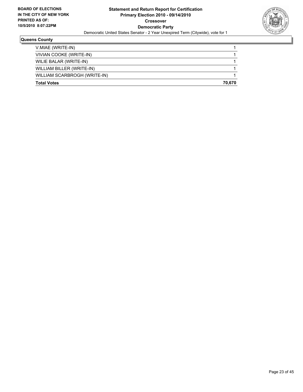

| <b>Total Votes</b>           | 70.670 |
|------------------------------|--------|
| WILLIAM SCARBROGH (WRITE-IN) |        |
| WILLIAM BILLER (WRITE-IN)    |        |
| WILIE BALAR (WRITE-IN)       |        |
| VIVIAN COOKE (WRITE-IN)      |        |
| V.MIAE (WRITE-IN)            |        |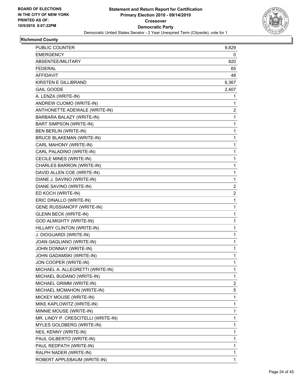

# **Richmond County**

| PUBLIC COUNTER                      | 9,829        |
|-------------------------------------|--------------|
| <b>EMERGENCY</b>                    | 0            |
| ABSENTEE/MILITARY                   | 820          |
| <b>FEDERAL</b>                      | 65           |
| AFFIDAVIT                           | 48           |
| KIRSTEN E GILLIBRAND                | 6,367        |
| <b>GAIL GOODE</b>                   | 2,407        |
| A. LENZA (WRITE-IN)                 | 1            |
| ANDREW CUOMO (WRITE-IN)             | 1            |
| ANTHONETTE ADEWALE (WRITE-IN)       | 2            |
| BARBARA BALAZY (WRITE-IN)           | 1            |
| <b>BART SIMPSON (WRITE-IN)</b>      | 1            |
| BEN BERLIN (WRITE-IN)               | 1            |
| <b>BRUCE BLAKEMAN (WRITE-IN)</b>    | 1            |
| CARL MAHONY (WRITE-IN)              | $\mathbf{1}$ |
| CARL PALADINO (WRITE-IN)            | 1            |
| CECILE MINES (WRITE-IN)             | 1            |
| CHARLES BARRON (WRITE-IN)           | 1            |
| DAVID ALLEN COE (WRITE-IN)          | 1            |
| DIANE J. SAVINO (WRITE-IN)          | 1            |
| DIANE SAVINO (WRITE-IN)             | 2            |
| ED KOCH (WRITE-IN)                  | 2            |
| ERIC DINALLO (WRITE-IN)             | 1            |
| GENE RUSSIANOFF (WRITE-IN)          | $\mathbf{1}$ |
| <b>GLENN BECK (WRITE-IN)</b>        | 1            |
| <b>GOD ALMIGHTY (WRITE-IN)</b>      | 1            |
| HILLARY CLINTON (WRITE-IN)          | $\mathbf{1}$ |
| J. DIOGUARDI (WRITE-IN)             | 1            |
| JOAN GAGLIANO (WRITE-IN)            | 1            |
| JOHN DONNAY (WRITE-IN)              | 1            |
| JOHN GADAMSKI (WRITE-IN)            | 1            |
| JON COOPER (WRITE-IN)               | 1            |
| MICHAEL A. ALLEGRETTI (WRITE-IN)    | 1            |
| MICHAEL BUDANO (WRITE-IN)           | 1            |
| MICHAEL GRIMM (WRITE-IN)            | 2            |
| MICHAEL MCMAHON (WRITE-IN)          | 5            |
| MICKEY MOUSE (WRITE-IN)             | 1            |
| MIKE KAPLOWITZ (WRITE-IN)           | 1            |
| MINNIE MOUSE (WRITE-IN)             | 1            |
| MR. LINDY P. CRESCITELLI (WRITE-IN) | 1            |
| MYLES GOLDBERG (WRITE-IN)           | 1            |
| NEIL KENNY (WRITE-IN)               | 1            |
| PAUL GILBERTO (WRITE-IN)            | 1            |
| PAUL REDPATH (WRITE-IN)             | 1            |
| RALPH NADER (WRITE-IN)              | 1            |
| ROBERT APPLEBAUM (WRITE-IN)         | 1            |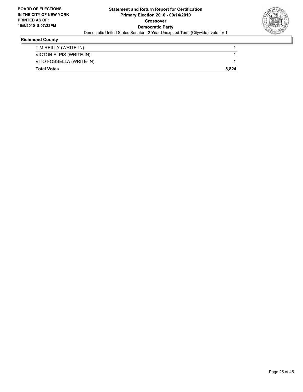

# **Richmond County**

| <b>Total Votes</b>       | 8.824 |
|--------------------------|-------|
| VITO FOSSELLA (WRITE-IN) |       |
| VICTOR ALPIS (WRITE-IN)  |       |
| TIM REILLY (WRITE-IN)    |       |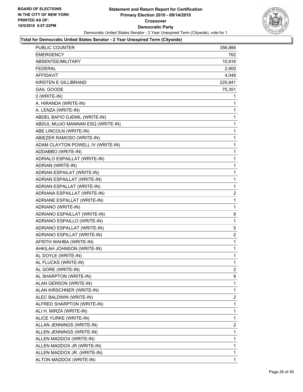

| PUBLIC COUNTER                    | 356,888      |
|-----------------------------------|--------------|
| EMERGENCY                         | 762          |
| ABSENTEE/MILITARY                 | 10,918       |
| FEDERAL                           | 2,900        |
| <b>AFFIDAVIT</b>                  | 4,048        |
| <b>KIRSTEN E GILLIBRAND</b>       | 225,841      |
| <b>GAIL GOODE</b>                 | 75,351       |
| 0 (WRITE-IN)                      | 1            |
| A. HIRANDA (WRITE-IN)             | 1            |
| A. LENZA (WRITE-IN)               | 1            |
| ABDEL BAFIO DJEMIL (WRITE-IN)     | 1            |
| ABDUL MUJIO MANNAN ESQ (WRITE-IN) | 1            |
| ABE LINCOLN (WRITE-IN)            | 1            |
| ABIEZER RAMOSO (WRITE-IN)         | 1            |
| ADAM CLAYTON POWELL IV (WRITE-IN) | 1            |
| ADDABBO (WRITE-IN)                | 1            |
| ADRIALO ESPAILLAT (WRITE-IN)      | 1            |
| ADRIAN (WRITE-IN)                 | 1            |
| ADRIAN ESPAILAT (WRITE-IN)        | 1            |
| ADRIAN ESPAILLAT (WRITE-IN)       | 1            |
| ADRIAN ESPALLAT (WRITE-IN)        | 1            |
| ADRIANA ESPAILLAT (WRITE-IN)      | 2            |
| ADRIANE ESPALLAT (WRITE-IN)       | 1            |
| ADRIANO (WRITE-IN)                | 1            |
| ADRIANO ESPAILLAT (WRITE-IN)      | 9            |
| ADRIANO ESPAILLO (WRITE-IN)       | 1            |
| ADRIANO ESPALLAT (WRITE-IN)       | 5            |
| ADRIANO ESPILLAT (WRITE-IN)       | 2            |
| AFRITH WAHBA (WRITE-IN)           | 1            |
| AHKILAH JOHNSON (WRITE-IN)        | 1            |
| AL DOYLE (WRITE-IN)               | 1            |
| AL FLUCKS (WRITE-IN)              | 1            |
| AL GORE (WRITE-IN)                | 2            |
| AL SHARPTON (WRITE-IN)            | 9            |
| ALAN GERSON (WRITE-IN)            | 1            |
| ALAN KIRSCHNER (WRITE-IN)         | 1            |
| ALEC BALDWIN (WRITE-IN)           | 2            |
| ALFRED SHARPTON (WRITE-IN)        | 1            |
| ALI H. MIRZA (WRITE-IN)           | 1            |
| ALICE YURKE (WRITE-IN)            | 1            |
| ALLAN JENNINGS (WRITE-IN)         | 2            |
| ALLEN JENNINGS (WRITE-IN)         | 1            |
| ALLEN MADDOX (WRITE-IN)           | 1            |
| ALLEN MADDOX JR (WRITE-IN)        | 1            |
| ALLEN MADDOX JR. (WRITE-IN)       | 1            |
| ALTON MADDOX (WRITE-IN)           | $\mathbf{1}$ |
|                                   |              |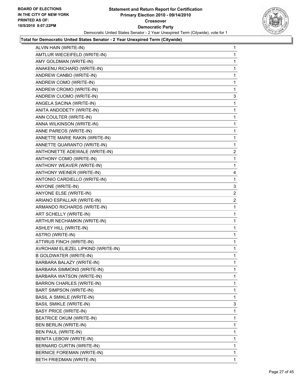

| ALVIN HAIN (WRITE-IN)              | 1              |
|------------------------------------|----------------|
| AMTLUR WIECEIFELD (WRITE-IN)       | 1              |
| AMY GOLDMAN (WRITE-IN)             | 1              |
| ANAKENU RICHARD (WRITE-IN)         | 1              |
| ANDREW CANBO (WRITE-IN)            | 1              |
| ANDREW COMO (WRITE-IN)             | 1              |
| ANDREW CROMO (WRITE-IN)            | 1              |
| ANDREW CUOMO (WRITE-IN)            | 3              |
| ANGELA SACINA (WRITE-IN)           | 1              |
| ANITA ANDODETY (WRITE-IN)          | 1              |
| ANN COULTER (WRITE-IN)             | 1              |
| ANNA WILKINSON (WRITE-IN)          | 1              |
| ANNE PAREOS (WRITE-IN)             | 1              |
| ANNETTE MARIE RAKIN (WRITE-IN)     | 1              |
| ANNETTE QUARANTO (WRITE-IN)        | 1              |
| ANTHONETTE ADEWALE (WRITE-IN)      | 2              |
| ANTHONY COMO (WRITE-IN)            | 1              |
| ANTHONY WEAVER (WRITE-IN)          | 1              |
| ANTHONY WEINER (WRITE-IN)          | 4              |
| ANTONIO CARDIELLO (WRITE-IN)       | 1              |
| ANYONE (WRITE-IN)                  | 3              |
| ANYONE ELSE (WRITE-IN)             | 2              |
| ARIANO ESPALLAR (WRITE-IN)         | $\overline{2}$ |
| ARMANDO RICHARDS (WRITE-IN)        | 1              |
| ART SCHELLY (WRITE-IN)             | 1              |
| ARTHUR NECHAMKIN (WRITE-IN)        | 1              |
| <b>ASHLEY HILL (WRITE-IN)</b>      | 1              |
| ASTRO (WRITE-IN)                   | 1              |
| ATTIRUS FINCH (WRITE-IN)           | 1              |
| AVROHAM ELIEZEL LIPKIND (WRITE-IN) | 1              |
| B GOLDWATER (WRITE-IN)             | 1              |
| BARBARA BALAZY (WRITE-IN)          | 1              |
| BARBARA SIMMONS (WRITE-IN)         | 1              |
| BARBARA WATSON (WRITE-IN)          | 1              |
| BARRON CHARLES (WRITE-IN)          | 1              |
| BART SIMPSON (WRITE-IN)            | 1              |
| <b>BASIL A SMIKLE (WRITE-IN)</b>   | 1              |
| <b>BASIL SMIKLE (WRITE-IN)</b>     | 3              |
| <b>BASY PRICE (WRITE-IN)</b>       | 1              |
| <b>BEATRICE OKUM (WRITE-IN)</b>    | 1              |
| BEN BERLIN (WRITE-IN)              | 1              |
| BEN PAUL (WRITE-IN)                | 1              |
| BENITA LEBOW (WRITE-IN)            | 1              |
| BERNARD CURTIN (WRITE-IN)          | 1              |
| BERNICE FOREMAN (WRITE-IN)         | 1              |
| BETH FRIEDMAN (WRITE-IN)           | $\mathbf{1}$   |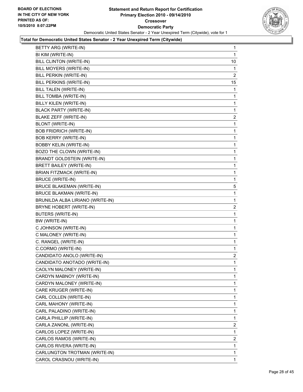

| BETTY ARG (WRITE-IN)               | 1              |
|------------------------------------|----------------|
| BI KIM (WRITE-IN)                  | 1              |
| <b>BILL CLINTON (WRITE-IN)</b>     | 10             |
| BILL MOYERS (WRITE-IN)             | 1              |
| BILL PERKIN (WRITE-IN)             | $\overline{2}$ |
| BILL PERKINS (WRITE-IN)            | 15             |
| BILL TALEN (WRITE-IN)              | 1              |
| BILL TOMBA (WRITE-IN)              | 1              |
| BILLY KILEN (WRITE-IN)             | 1              |
| <b>BLACK PARTY (WRITE-IN)</b>      | 1              |
| BLAKE ZEFF (WRITE-IN)              | 2              |
| BLONT (WRITE-IN)                   | 1              |
| <b>BOB FRIDRICH (WRITE-IN)</b>     | 1              |
| <b>BOB KERRY (WRITE-IN)</b>        | 1              |
| <b>BOBBY KELIN (WRITE-IN)</b>      | 1              |
| BOZO THE CLOWN (WRITE-IN)          | 1              |
| <b>BRANDT GOLDSTEIN (WRITE-IN)</b> | 1              |
| BRETT BAILEY (WRITE-IN)            | 1              |
| <b>BRIAN FITZMACK (WRITE-IN)</b>   | 1              |
| <b>BRUCE (WRITE-IN)</b>            | 1              |
| <b>BRUCE BLAKEMAN (WRITE-IN)</b>   | 5              |
| <b>BRUCE BLAKMAN (WRITE-IN)</b>    | 1              |
| BRUNILDA ALBA LIRIANO (WRITE-IN)   | 1              |
| BRYNE HOBERT (WRITE-IN)            | 2              |
| BUTERS (WRITE-IN)                  | 1              |
| BW (WRITE-IN)                      | 1              |
| C JOHNSON (WRITE-IN)               | 1              |
| C MALONEY (WRITE-IN)               | 1              |
| C. RANGEL (WRITE-IN)               | 1              |
| C.CORMO (WRITE-IN)                 | 1              |
| CANDIDATO ANOLO (WRITE-IN)         | 2              |
| CANDIDATO ANOTADO (WRITE-IN)       | $\mathbf{1}$   |
| CAOLYN MALONEY (WRITE-IN)          | 1              |
| CARDYN MABNOY (WRITE-IN)           | 1              |
| CARDYN MALONEY (WRITE-IN)          | 1              |
| CARE KRUGER (WRITE-IN)             | 1              |
| CARL COLLEN (WRITE-IN)             | 1              |
| CARL MAHONY (WRITE-IN)             | 1              |
| CARL PALADINO (WRITE-IN)           | 1              |
| CARLA PHILLIP (WRITE-IN)           | 1              |
| CARLA ZANONL (WRITE-IN)            | $\mathbf{2}$   |
| CARLOS LOPEZ (WRITE-IN)            | 1              |
| CARLOS RAMOS (WRITE-IN)            | 2              |
| CARLOS RIVERA (WRITE-IN)           | 1              |
| CARLUNGTON TROTMAN (WRITE-IN)      | 1              |
| CAROL CRASNOU (WRITE-IN)           | 1.             |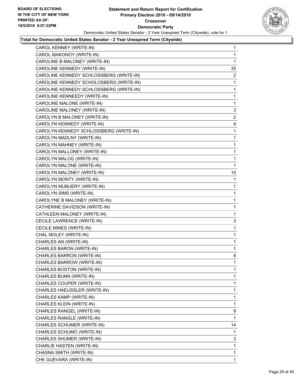

| CAROL KENNEY (WRITE-IN)                 | 1              |
|-----------------------------------------|----------------|
| CAROL MAKONOY (WRITE-IN)                | 1              |
| CAROLINE B MALONEY (WRITE-IN)           | 1              |
| CAROLINE KENNEDY (WRITE-IN)             | 35             |
| CAROLINE KENNEDY SCHLOSSBERG (WRITE-IN) | $\overline{2}$ |
| CAROLINE KENNEDY SCHOLOSBERG (WRITE-IN) | 1              |
| CAROLINE KENNEDY-SCHLOSSBERG (WRITE-IN) | 1              |
| CAROLINE KENNEEDY (WRITE-IN)            | 1              |
| CAROLINE MALONE (WRITE-IN)              | 1              |
| CAROLINE MALONEY (WRITE-IN)             | 3              |
| CAROLYN B MALONEY (WRITE-IN)            | $\overline{2}$ |
| CAROLYN KENNEDY (WRITE-IN)              | 9              |
| CAROLYN KENNEDY SCHLOSSBERG (WRITE-IN)  | 1              |
| CAROLYN MADLNY (WRITE-IN)               | 1              |
| CAROLYN MAHNEY (WRITE-IN)               | 1              |
| CAROLYN MALLONEY (WRITE-IN)             | 1              |
| CAROLYN MALOG (WRITE-IN)                | 1              |
| CAROLYN MALONE (WRITE-IN)               | 1              |
| CAROLYN MALONEY (WRITE-IN)              | 10             |
| CAROLYN MONTY (WRITE-IN)                | 1              |
| CAROLYN MUBUERY (WRITE-IN)              | 1              |
| CAROLYN SIMS (WRITE-IN)                 | 1              |
| CAROLYNE B MALONEY (WRITE-IN)           | 1              |
| CATHERINE DAVIDSON (WRITE-IN)           | 1              |
| CATHLEEN MALONEY (WRITE-IN)             | 1              |
| CECILE LAWRENCE (WRITE-IN)              | 3              |
| CECILE MINES (WRITE-IN)                 | 1              |
| CHAL MOLEY (WRITE-IN)                   | 1              |
| CHARLES AN (WRITE-IN)                   | 1              |
| CHARLES BARON (WRITE-IN)                | 1              |
| CHARLES BARRON (WRITE-IN)               | 8              |
| CHARLES BARROW (WRITE-IN)               | 1              |
| CHARLES BOSTON (WRITE-IN)               | 1              |
| CHARLES BUNN (WRITE-IN)                 | 1              |
| CHARLES COUPER (WRITE-IN)               | 1              |
| CHARLES HAEUSSLER (WRITE-IN)            | 1              |
| CHARLES KAMP (WRITE-IN)                 | 1              |
| CHARLES KLEIN (WRITE-IN)                | 1              |
| CHARLES RANGEL (WRITE-IN)               | 9              |
| CHARLES RANGLE (WRITE-IN)               | 1              |
| CHARLES SCHUMER (WRITE-IN)              | 14             |
| CHARLES SCHUMO (WRITE-IN)               | 1              |
| CHARLES SHUMER (WRITE-IN)               | 3              |
| CHARLIE HASTEN (WRITE-IN)               | 1              |
| CHASNA SMITH (WRITE-IN)                 | 1              |
| CHE GUEVARA (WRITE-IN)                  | 1              |
|                                         |                |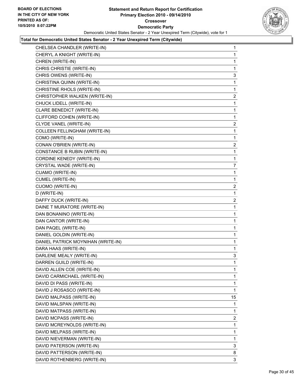

| CHELSEA CHANDLER (WRITE-IN)          | $\mathbf{1}$            |
|--------------------------------------|-------------------------|
| CHERYL A KNIGHT (WRITE-IN)           | 1                       |
| CHREN (WRITE-IN)                     | 1                       |
| CHRIS CHRISTIE (WRITE-IN)            | 1                       |
| CHRIS OWENS (WRITE-IN)               | 3                       |
| CHRISTINA QUINN (WRITE-IN)           | 1                       |
| CHRISTINE RHOLS (WRITE-IN)           | 1                       |
| CHRISTOPHER WALKEN (WRITE-IN)        | $\mathbf{2}$            |
| CHUCK LIDELL (WRITE-IN)              | 1                       |
| CLARE BENEDICT (WRITE-IN)            | 1                       |
| CLIFFORD COHEN (WRITE-IN)            | 1                       |
| CLYDE VANEL (WRITE-IN)               | 2                       |
| <b>COLLEEN FELLINGHAM (WRITE-IN)</b> | 1                       |
| COMO (WRITE-IN)                      | 1                       |
| CONAN O'BRIEN (WRITE-IN)             | $\overline{\mathbf{c}}$ |
| CONSTANCE B RUBIN (WRITE-IN)         | 1                       |
| CORDINE KENEDY (WRITE-IN)            | 1                       |
| CRYSTAL WADE (WRITE-IN)              | 7                       |
| CUAMO (WRITE-IN)                     | 1                       |
| CUMEL (WRITE-IN)                     | 1                       |
| CUOMO (WRITE-IN)                     | 2                       |
| D (WRITE-IN)                         | 1                       |
| DAFFY DUCK (WRITE-IN)                | 2                       |
| DAINE T MURATORE (WRITE-IN)          | 1                       |
| DAN BONANINO (WRITE-IN)              | 1                       |
| DAN CANTOR (WRITE-IN)                | 1                       |
| DAN PAQEL (WRITE-IN)                 | 1                       |
| DANIEL GOLDIN (WRITE-IN)             | 1                       |
| DANIEL PATRICK MOYNIHAN (WRITE-IN)   | 1                       |
| DARA HAAS (WRITE-IN)                 | 1                       |
| DARLENE MEALY (WRITE-IN)             | 3                       |
| DARREN GUILD (WRITE-IN)              | $\mathbf{1}$            |
| DAVID ALLEN COE (WRITE-IN)           | 1                       |
| DAVID CARMICHAEL (WRITE-IN)          | 1                       |
| DAVID DI PASS (WRITE-IN)             | 1                       |
| DAVID J ROSASCO (WRITE-IN)           | 1                       |
| DAVID MALPASS (WRITE-IN)             | 15                      |
| DAVID MALSPAN (WRITE-IN)             | 1                       |
| DAVID MATPASS (WRITE-IN)             | 1                       |
| DAVID MCPASS (WRITE-IN)              | 2                       |
| DAVID MCREYNOLDS (WRITE-IN)          | 1                       |
| DAVID MELPASS (WRITE-IN)             | 1                       |
| DAVID NIEVERMAN (WRITE-IN)           | 1                       |
| DAVID PATERSON (WRITE-IN)            | 3                       |
| DAVID PATTERSON (WRITE-IN)           | 8                       |
| DAVID ROTHENBERG (WRITE-IN)          | 3                       |
|                                      |                         |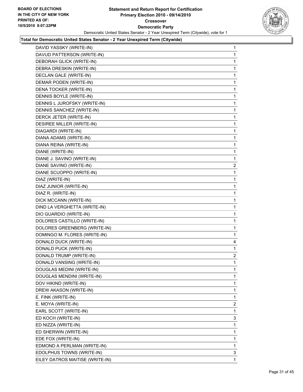

| DAVID YASSKY (WRITE-IN)         | 1              |
|---------------------------------|----------------|
| DAVUD PATTERSON (WRITE-IN)      | 1              |
| DEBORAH GLICK (WRITE-IN)        | 1              |
| DEBRA DRESKIN (WRITE-IN)        | 1              |
| DECLAN GALE (WRITE-IN)          | 1              |
| DEMAR PODEN (WRITE-IN)          | 1              |
| DENA TOCKER (WRITE-IN)          | 1              |
| DENNIS BOYLE (WRITE-IN)         | 1              |
| DENNIS L JUROFSKY (WRITE-IN)    | 1              |
| DENNIS SANCHEZ (WRITE-IN)       | 1              |
| DERCK JETER (WRITE-IN)          | 1              |
| DESIREE MILLER (WRITE-IN)       | 1              |
| DIAGARDI (WRITE-IN)             | 1              |
| DIANA ADAMS (WRITE-IN)          | 1              |
| DIANA REINA (WRITE-IN)          | 1              |
| DIANE (WRITE-IN)                | 1              |
| DIANE J. SAVINO (WRITE-IN)      | 1              |
| DIANE SAVINO (WRITE-IN)         | 2              |
| DIANE SCUOPPO (WRITE-IN)        | 1              |
| DIAZ (WRITE-IN)                 | 1              |
| DIAZ JUNIOR (WRITE-IN)          | 1              |
| DIAZ R. (WRITE-IN)              | 1              |
| DICK MCCANN (WRITE-IN)          | 1              |
| DIND LA VERGHETTA (WRITE-IN)    | 1              |
| DIO GUARDIO (WRITE-IN)          | 1              |
| DOLORES CASTILLO (WRITE-IN)     | 1              |
| DOLORES GREENBERG (WRITE-IN)    | 1              |
| DOMINGO M. FLORES (WRITE-IN)    | 1              |
| DONALD DUCK (WRITE-IN)          | 4              |
| DONALD PUCK (WRITE-IN)          | 1              |
| DONALD TRUMP (WRITE-IN)         | 2              |
| DONALD VANSING (WRITE-IN)       | 1              |
| DOUGLAS MEDINI (WRITE-IN)       | 1              |
| DOUGLAS MENDINI (WRITE-IN)      | 1              |
| DOV HIKIND (WRITE-IN)           | 1              |
| DREW AKASON (WRITE-IN)          | 1              |
| E. FINK (WRITE-IN)              | 1              |
| E. MOYA (WRITE-IN)              | $\overline{c}$ |
| EARL SCOTT (WRITE-IN)           | 1              |
| ED KOCH (WRITE-IN)              | 3              |
| ED NIZZA (WRITE-IN)             | 1              |
| ED SHERWIN (WRITE-IN)           | 1              |
| EDE FOX (WRITE-IN)              | 1              |
| EDMOND A PERLMAN (WRITE-IN)     | $\mathbf{1}$   |
| EDOLPHUS TOWNS (WRITE-IN)       | 3              |
| EILEY DATROS MAITISE (WRITE-IN) | 1              |
|                                 |                |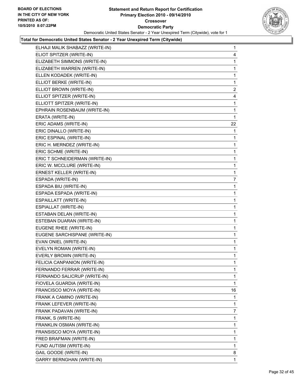

| ELHAJI MALIK SHABAZZ (WRITE-IN)  | 1              |
|----------------------------------|----------------|
| ELIOT SPITZER (WRITE-IN)         | 4              |
| ELIZABETH SIMMONS (WRITE-IN)     | 1              |
| ELIZABETH WARREN (WRITE-IN)      | 1              |
| ELLEN KODADEK (WRITE-IN)         | 1              |
| ELLIOT BERKE (WRITE-IN)          | $\mathbf{1}$   |
| ELLIOT BROWN (WRITE-IN)          | $\overline{2}$ |
| ELLIOT SPITZER (WRITE-IN)        | 4              |
| ELLIOTT SPITZER (WRITE-IN)       | 1              |
| EPHRAIN ROSENBAUM (WRITE-IN)     | 1              |
| ERATA (WRITE-IN)                 | 1              |
| ERIC ADAMS (WRITE-IN)            | 22             |
| ERIC DINALLO (WRITE-IN)          | 1              |
| ERIC ESPINAL (WRITE-IN)          | 1              |
| ERIC H. MERNDEZ (WRITE-IN)       | 1              |
| ERIC SCHME (WRITE-IN)            | 1              |
| ERIC T SCHNEIDERMAN (WRITE-IN)   | 1              |
| ERIC W. MCCLURE (WRITE-IN)       | 1              |
| <b>ERNEST KELLER (WRITE-IN)</b>  | 1              |
| ESPADA (WRITE-IN)                | 7              |
| ESPADA BIU (WRITE-IN)            | 1              |
| ESPADA ESPADA (WRITE-IN)         | 1              |
| ESPAILLATT (WRITE-IN)            | 1              |
| ESPIALLAT (WRITE-IN)             | 1              |
| ESTABAN DELAN (WRITE-IN)         | 1              |
| ESTEBAN DUARAN (WRITE-IN)        | 1              |
| EUGENE RHEE (WRITE-IN)           | 1              |
| EUGENE SARCHISPANE (WRITE-IN)    | 1              |
| EVAN ONIEL (WRITE-IN)            | 1              |
| EVELYN ROMAN (WRITE-IN)          | 1              |
| EVERLY BROWN (WRITE-IN)          | 1              |
| FELICIA CANPANION (WRITE-IN)     | 1              |
| FERNANDO FERRAR (WRITE-IN)       | 1              |
| FERNANDO SALICRUP (WRITE-IN)     | 1              |
| FIOVELA GUARDIA (WRITE-IN)       | 1              |
| FRANCISCO MOYA (WRITE-IN)        | 16             |
| FRANK A CAMINO (WRITE-IN)        | 1              |
| FRANK LEFEVER (WRITE-IN)         | 1              |
| FRANK PADAVAN (WRITE-IN)         | 7              |
| FRANK, S (WRITE-IN)              | 1              |
| FRANKLIN OSMAN (WRITE-IN)        | 1              |
| FRANSISCO MOYA (WRITE-IN)        | 1              |
| FRED BRAFMAN (WRITE-IN)          | 1              |
| FUND AUTISM (WRITE-IN)           | 1              |
| GAIL GOODE (WRITE-IN)            | 8              |
| <b>GARRY BERNGHAN (WRITE-IN)</b> | 1              |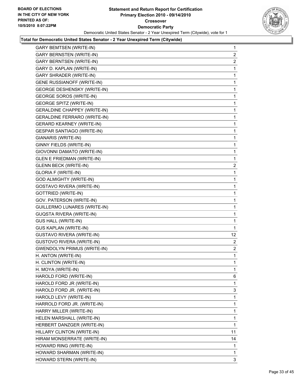

| <b>GARY BERNSTEN (WRITE-IN)</b><br><b>GARY BERNTSEN (WRITE-IN)</b><br>GARY D. KAPLAN (WRITE-IN)<br>GARY SHRADER (WRITE-IN)<br><b>GENE RUSSIANOFF (WRITE-IN)</b><br><b>GEORGE DESHENSKY (WRITE-IN)</b><br><b>GEORGE SOROS (WRITE-IN)</b><br><b>GEORGE SPITZ (WRITE-IN)</b><br><b>GERALDINE CHAPPEY (WRITE-IN)</b><br>GERALDINE FERRARO (WRITE-IN)<br><b>GERARD KEARNEY (WRITE-IN)</b><br>GESPAR SANTIAGO (WRITE-IN)<br>GIANARIS (WRITE-IN)<br>GINNY FIELDS (WRITE-IN)<br>GIOVONNI DAMATO (WRITE-IN)<br>GLEN E FRIEDMAN (WRITE-IN)<br><b>GLENN BECK (WRITE-IN)</b><br><b>GLORIA F (WRITE-IN)</b><br><b>GOD ALMIGHTY (WRITE-IN)</b><br>GOSTAVO RIVERA (WRITE-IN)<br><b>GOTTRIED (WRITE-IN)</b><br>GOV. PATERSON (WRITE-IN)<br>GUILLERMO LUNARES (WRITE-IN)<br><b>GUQSTA RIVERA (WRITE-IN)</b><br><b>GUS HALL (WRITE-IN)</b><br><b>GUS KAPLAN (WRITE-IN)</b><br><b>GUSTAVO RIVERA (WRITE-IN)</b><br><b>GUSTOVO RIVERA (WRITE-IN)</b><br><b>GWENDOLYN PRIMUS (WRITE-IN)</b><br>H. ANTON (WRITE-IN)<br>H. CLINTON (WRITE-IN)<br>H. MOYA (WRITE-IN)<br>HAROLD FORD (WRITE-IN)<br>HAROLD FORD JR (WRITE-IN)<br>HAROLD FORD JR. (WRITE-IN)<br>HAROLD LEVY (WRITE-IN)<br>HARROLD FORD JR. (WRITE-IN)<br>HARRY MILLER (WRITE-IN)<br>HELEN MARSHALL (WRITE-IN)<br>HERBERT DANZGER (WRITE-IN)<br>HILLARY CLINTON (WRITE-IN)<br>HIRAM MONSERRATE (WRITE-IN)<br>HOWARD RING (WRITE-IN)<br>HOWARD SHARMAN (WRITE-IN) | $\overline{2}$    |
|------------------------------------------------------------------------------------------------------------------------------------------------------------------------------------------------------------------------------------------------------------------------------------------------------------------------------------------------------------------------------------------------------------------------------------------------------------------------------------------------------------------------------------------------------------------------------------------------------------------------------------------------------------------------------------------------------------------------------------------------------------------------------------------------------------------------------------------------------------------------------------------------------------------------------------------------------------------------------------------------------------------------------------------------------------------------------------------------------------------------------------------------------------------------------------------------------------------------------------------------------------------------------------------------------------------------------------------------------------------------------------------------------|-------------------|
|                                                                                                                                                                                                                                                                                                                                                                                                                                                                                                                                                                                                                                                                                                                                                                                                                                                                                                                                                                                                                                                                                                                                                                                                                                                                                                                                                                                                      |                   |
|                                                                                                                                                                                                                                                                                                                                                                                                                                                                                                                                                                                                                                                                                                                                                                                                                                                                                                                                                                                                                                                                                                                                                                                                                                                                                                                                                                                                      | 2                 |
|                                                                                                                                                                                                                                                                                                                                                                                                                                                                                                                                                                                                                                                                                                                                                                                                                                                                                                                                                                                                                                                                                                                                                                                                                                                                                                                                                                                                      | 1                 |
|                                                                                                                                                                                                                                                                                                                                                                                                                                                                                                                                                                                                                                                                                                                                                                                                                                                                                                                                                                                                                                                                                                                                                                                                                                                                                                                                                                                                      | 1                 |
|                                                                                                                                                                                                                                                                                                                                                                                                                                                                                                                                                                                                                                                                                                                                                                                                                                                                                                                                                                                                                                                                                                                                                                                                                                                                                                                                                                                                      | 1                 |
|                                                                                                                                                                                                                                                                                                                                                                                                                                                                                                                                                                                                                                                                                                                                                                                                                                                                                                                                                                                                                                                                                                                                                                                                                                                                                                                                                                                                      | 1                 |
|                                                                                                                                                                                                                                                                                                                                                                                                                                                                                                                                                                                                                                                                                                                                                                                                                                                                                                                                                                                                                                                                                                                                                                                                                                                                                                                                                                                                      | 1                 |
|                                                                                                                                                                                                                                                                                                                                                                                                                                                                                                                                                                                                                                                                                                                                                                                                                                                                                                                                                                                                                                                                                                                                                                                                                                                                                                                                                                                                      | 1                 |
|                                                                                                                                                                                                                                                                                                                                                                                                                                                                                                                                                                                                                                                                                                                                                                                                                                                                                                                                                                                                                                                                                                                                                                                                                                                                                                                                                                                                      | 1                 |
|                                                                                                                                                                                                                                                                                                                                                                                                                                                                                                                                                                                                                                                                                                                                                                                                                                                                                                                                                                                                                                                                                                                                                                                                                                                                                                                                                                                                      | 1                 |
|                                                                                                                                                                                                                                                                                                                                                                                                                                                                                                                                                                                                                                                                                                                                                                                                                                                                                                                                                                                                                                                                                                                                                                                                                                                                                                                                                                                                      | 1                 |
|                                                                                                                                                                                                                                                                                                                                                                                                                                                                                                                                                                                                                                                                                                                                                                                                                                                                                                                                                                                                                                                                                                                                                                                                                                                                                                                                                                                                      | 1                 |
|                                                                                                                                                                                                                                                                                                                                                                                                                                                                                                                                                                                                                                                                                                                                                                                                                                                                                                                                                                                                                                                                                                                                                                                                                                                                                                                                                                                                      | 1                 |
|                                                                                                                                                                                                                                                                                                                                                                                                                                                                                                                                                                                                                                                                                                                                                                                                                                                                                                                                                                                                                                                                                                                                                                                                                                                                                                                                                                                                      | 1                 |
|                                                                                                                                                                                                                                                                                                                                                                                                                                                                                                                                                                                                                                                                                                                                                                                                                                                                                                                                                                                                                                                                                                                                                                                                                                                                                                                                                                                                      | 1                 |
|                                                                                                                                                                                                                                                                                                                                                                                                                                                                                                                                                                                                                                                                                                                                                                                                                                                                                                                                                                                                                                                                                                                                                                                                                                                                                                                                                                                                      | 1                 |
|                                                                                                                                                                                                                                                                                                                                                                                                                                                                                                                                                                                                                                                                                                                                                                                                                                                                                                                                                                                                                                                                                                                                                                                                                                                                                                                                                                                                      | $\mathbf{2}$      |
|                                                                                                                                                                                                                                                                                                                                                                                                                                                                                                                                                                                                                                                                                                                                                                                                                                                                                                                                                                                                                                                                                                                                                                                                                                                                                                                                                                                                      | 1                 |
|                                                                                                                                                                                                                                                                                                                                                                                                                                                                                                                                                                                                                                                                                                                                                                                                                                                                                                                                                                                                                                                                                                                                                                                                                                                                                                                                                                                                      | 1                 |
|                                                                                                                                                                                                                                                                                                                                                                                                                                                                                                                                                                                                                                                                                                                                                                                                                                                                                                                                                                                                                                                                                                                                                                                                                                                                                                                                                                                                      | 1                 |
|                                                                                                                                                                                                                                                                                                                                                                                                                                                                                                                                                                                                                                                                                                                                                                                                                                                                                                                                                                                                                                                                                                                                                                                                                                                                                                                                                                                                      | 1                 |
|                                                                                                                                                                                                                                                                                                                                                                                                                                                                                                                                                                                                                                                                                                                                                                                                                                                                                                                                                                                                                                                                                                                                                                                                                                                                                                                                                                                                      | 1                 |
|                                                                                                                                                                                                                                                                                                                                                                                                                                                                                                                                                                                                                                                                                                                                                                                                                                                                                                                                                                                                                                                                                                                                                                                                                                                                                                                                                                                                      | 1                 |
|                                                                                                                                                                                                                                                                                                                                                                                                                                                                                                                                                                                                                                                                                                                                                                                                                                                                                                                                                                                                                                                                                                                                                                                                                                                                                                                                                                                                      | 1                 |
|                                                                                                                                                                                                                                                                                                                                                                                                                                                                                                                                                                                                                                                                                                                                                                                                                                                                                                                                                                                                                                                                                                                                                                                                                                                                                                                                                                                                      | 1                 |
|                                                                                                                                                                                                                                                                                                                                                                                                                                                                                                                                                                                                                                                                                                                                                                                                                                                                                                                                                                                                                                                                                                                                                                                                                                                                                                                                                                                                      | 1                 |
|                                                                                                                                                                                                                                                                                                                                                                                                                                                                                                                                                                                                                                                                                                                                                                                                                                                                                                                                                                                                                                                                                                                                                                                                                                                                                                                                                                                                      | $12 \overline{ }$ |
|                                                                                                                                                                                                                                                                                                                                                                                                                                                                                                                                                                                                                                                                                                                                                                                                                                                                                                                                                                                                                                                                                                                                                                                                                                                                                                                                                                                                      | $\overline{2}$    |
|                                                                                                                                                                                                                                                                                                                                                                                                                                                                                                                                                                                                                                                                                                                                                                                                                                                                                                                                                                                                                                                                                                                                                                                                                                                                                                                                                                                                      | $\mathbf{2}$      |
|                                                                                                                                                                                                                                                                                                                                                                                                                                                                                                                                                                                                                                                                                                                                                                                                                                                                                                                                                                                                                                                                                                                                                                                                                                                                                                                                                                                                      | 1                 |
|                                                                                                                                                                                                                                                                                                                                                                                                                                                                                                                                                                                                                                                                                                                                                                                                                                                                                                                                                                                                                                                                                                                                                                                                                                                                                                                                                                                                      | 1                 |
|                                                                                                                                                                                                                                                                                                                                                                                                                                                                                                                                                                                                                                                                                                                                                                                                                                                                                                                                                                                                                                                                                                                                                                                                                                                                                                                                                                                                      | 1                 |
|                                                                                                                                                                                                                                                                                                                                                                                                                                                                                                                                                                                                                                                                                                                                                                                                                                                                                                                                                                                                                                                                                                                                                                                                                                                                                                                                                                                                      | 6                 |
|                                                                                                                                                                                                                                                                                                                                                                                                                                                                                                                                                                                                                                                                                                                                                                                                                                                                                                                                                                                                                                                                                                                                                                                                                                                                                                                                                                                                      | 1                 |
|                                                                                                                                                                                                                                                                                                                                                                                                                                                                                                                                                                                                                                                                                                                                                                                                                                                                                                                                                                                                                                                                                                                                                                                                                                                                                                                                                                                                      | 3                 |
|                                                                                                                                                                                                                                                                                                                                                                                                                                                                                                                                                                                                                                                                                                                                                                                                                                                                                                                                                                                                                                                                                                                                                                                                                                                                                                                                                                                                      | 1                 |
|                                                                                                                                                                                                                                                                                                                                                                                                                                                                                                                                                                                                                                                                                                                                                                                                                                                                                                                                                                                                                                                                                                                                                                                                                                                                                                                                                                                                      | 1                 |
|                                                                                                                                                                                                                                                                                                                                                                                                                                                                                                                                                                                                                                                                                                                                                                                                                                                                                                                                                                                                                                                                                                                                                                                                                                                                                                                                                                                                      | 1                 |
|                                                                                                                                                                                                                                                                                                                                                                                                                                                                                                                                                                                                                                                                                                                                                                                                                                                                                                                                                                                                                                                                                                                                                                                                                                                                                                                                                                                                      | 1                 |
|                                                                                                                                                                                                                                                                                                                                                                                                                                                                                                                                                                                                                                                                                                                                                                                                                                                                                                                                                                                                                                                                                                                                                                                                                                                                                                                                                                                                      | 1                 |
|                                                                                                                                                                                                                                                                                                                                                                                                                                                                                                                                                                                                                                                                                                                                                                                                                                                                                                                                                                                                                                                                                                                                                                                                                                                                                                                                                                                                      | 11                |
|                                                                                                                                                                                                                                                                                                                                                                                                                                                                                                                                                                                                                                                                                                                                                                                                                                                                                                                                                                                                                                                                                                                                                                                                                                                                                                                                                                                                      | 14                |
|                                                                                                                                                                                                                                                                                                                                                                                                                                                                                                                                                                                                                                                                                                                                                                                                                                                                                                                                                                                                                                                                                                                                                                                                                                                                                                                                                                                                      | 1                 |
|                                                                                                                                                                                                                                                                                                                                                                                                                                                                                                                                                                                                                                                                                                                                                                                                                                                                                                                                                                                                                                                                                                                                                                                                                                                                                                                                                                                                      | 1                 |
| HOWARD STERN (WRITE-IN)                                                                                                                                                                                                                                                                                                                                                                                                                                                                                                                                                                                                                                                                                                                                                                                                                                                                                                                                                                                                                                                                                                                                                                                                                                                                                                                                                                              | 3                 |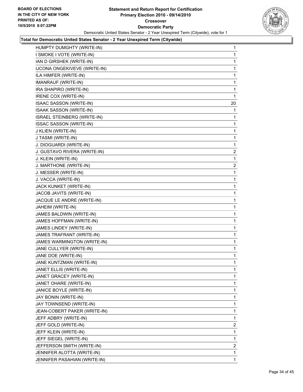

| HUMPTY DUMGHTY (WRITE-IN)      | 1              |
|--------------------------------|----------------|
| I SMOKE I VOTE (WRITE-IN)      | 1              |
| IAN D GIRSHEK (WRITE-IN)       | 1              |
| IJCONA ONGEKIVEVE (WRITE-IN)   | 1              |
| ILA HIMFER (WRITE-IN)          | 1              |
| IMANRAUF (WRITE-IN)            | 1              |
| IRA SHAPIRO (WRITE-IN)         | 1              |
| IRENE COX (WRITE-IN)           | 1              |
| ISAAC SASSON (WRITE-IN)        | 20             |
| ISAAK SASSON (WRITE-IN)        | 1              |
| ISRAEL STEINBERG (WRITE-IN)    | 1              |
| <b>ISSAC SASSON (WRITE-IN)</b> | 1              |
| J KLIEN (WRITE-IN)             | 1              |
| J TASMI (WRITE-IN)             | 1              |
| J. DIOGUARDI (WRITE-IN)        | 1              |
| J. GUSTAVO RIVERA (WRITE-IN)   | 2              |
| J. KLEIN (WRITE-IN)            | 1              |
| J. MARTHONE (WRITE-IN)         | $\mathbf{2}$   |
| J. MESSER (WRITE-IN)           | 1              |
| J. VACCA (WRITE-IN)            | 1              |
| JACK KUNKET (WRITE-IN)         | 1              |
| JACOB JAVITS (WRITE-IN)        | 1              |
| JACQUE LE ANDRE (WRITE-IN)     | 1              |
| JAHEIM (WRITE-IN)              | 1              |
| JAMES BALDWIN (WRITE-IN)       | 1              |
| JAMES HOFFMAN (WRITE-IN)       | 1              |
| JAMES LINDEY (WRITE-IN)        | 1              |
| JAMES TRAFRANT (WRITE-IN)      | 1              |
| JAMES WARMINGTON (WRITE-IN)    | 1              |
| JANE CULLYER (WRITE-IN)        | 1              |
| JANE DOE (WRITE-IN)            | 1              |
| JANE KUNTZMAN (WRITE-IN)       | 1              |
| JANET ELLIS (WRITE-IN)         | 1              |
| JANET GRACEY (WRITE-IN)        | 1              |
| JANET OHARE (WRITE-IN)         | 1              |
| JANICE BOYLE (WRITE-IN)        | 1              |
| JAY BONIN (WRITE-IN)           | 1              |
| JAY TOWNSEND (WRITE-IN)        | 1              |
| JEAN-COBERT PAKER (WRITE-IN)   | 1              |
| JEFF ADBRY (WRITE-IN)          | 1              |
| JEFF GOLD (WRITE-IN)           | $\overline{a}$ |
| JEFF KLEIN (WRITE-IN)          | 1              |
| JEFF SIEGEL (WRITE-IN)         | 1              |
| JEFFERSON SMITH (WRITE-IN)     | 2              |
| JENNIFER ALOTTA (WRITE-IN)     | 1              |
| JENNIFER PASAHIAN (WRITE-IN)   | 1              |
|                                |                |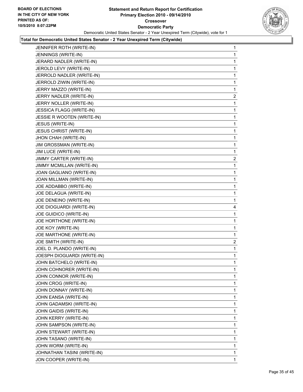

| JENNIFER ROTH (WRITE-IN)        | 1            |
|---------------------------------|--------------|
| JENNINGS (WRITE-IN)             | 1            |
| JERARD NADLER (WRITE-IN)        | 1            |
| JEROLD LEVY (WRITE-IN)          | 1            |
| JERROLD NADLER (WRITE-IN)       | 1            |
| JERROLD ZIWIN (WRITE-IN)        | 1            |
| JERRY MAZZO (WRITE-IN)          | 1            |
| JERRY NADLER (WRITE-IN)         | 2            |
| JERRY NOLLER (WRITE-IN)         | 1            |
| <b>JESSICA FLAGG (WRITE-IN)</b> | 1            |
| JESSIE R WOOTEN (WRITE-IN)      | 1            |
| JESUS (WRITE-IN)                | 1            |
| <b>JESUS CHRIST (WRITE-IN)</b>  | 1            |
| JHON CHAH (WRITE-IN)            | 1            |
| JIM GROSSMAN (WRITE-IN)         | 1            |
| JIM LUCE (WRITE-IN)             | 1            |
| JIMMY CARTER (WRITE-IN)         | 2            |
| JIMMY MCMILLAN (WRITE-IN)       | 1            |
| JOAN GAGLIANO (WRITE-IN)        | 1            |
| JOAN MILLMAN (WRITE-IN)         | 1            |
| JOE ADDABBO (WRITE-IN)          | 1            |
| JOE DELAGUA (WRITE-IN)          | 1            |
| JOE DENEINO (WRITE-IN)          | 1            |
| JOE DIOGUARDI (WRITE-IN)        | 4            |
| JOE GUIDICO (WRITE-IN)          | 1            |
| JOE HORTHONE (WRITE-IN)         | 1            |
| JOE KOY (WRITE-IN)              | 1            |
| JOE MARTHONE (WRITE-IN)         | 1            |
| JOE SMITH (WRITE-IN)            | 2            |
| JOEL D. PLANDO (WRITE-IN)       | 1            |
| JOESPH DIOGUARDI (WRITE-IN)     | 1            |
| JOHN BATCHELO (WRITE-IN)        | 1            |
| JOHN COHNORER (WRITE-IN)        | 1            |
| JOHN CONNOR (WRITE-IN)          | 1            |
| JOHN CROG (WRITE-IN)            | 1            |
| JOHN DONNAY (WRITE-IN)          | 1            |
| JOHN EANSA (WRITE-IN)           | 1            |
| JOHN GADAMSKI (WRITE-IN)        | 1            |
| JOHN GAIDIS (WRITE-IN)          | 1            |
| JOHN KERRY (WRITE-IN)           | 1            |
| JOHN SAMPSON (WRITE-IN)         | 1            |
| JOHN STEWART (WRITE-IN)         | 1            |
| JOHN TASANO (WRITE-IN)          | 1            |
| JOHN WORM (WRITE-IN)            | 1            |
| JOHNATHAN TASINI (WRITE-IN)     | 1            |
| JON COOPER (WRITE-IN)           | $\mathbf{1}$ |
|                                 |              |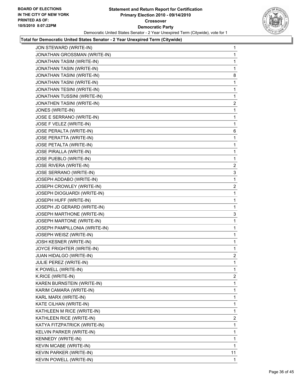

| JON STEWARD (WRITE-IN)         | 1              |
|--------------------------------|----------------|
| JONATHAN GROSSMAN (WRITE-IN)   | 1              |
| JONATHAN TASIM (WRITE-IN)      | 1              |
| JONATHAN TASIN (WRITE-IN)      | 1              |
| JONATHAN TASINI (WRITE-IN)     | 8              |
| JONATHAN TASNI (WRITE-IN)      | 1              |
| JONATHAN TESINI (WRITE-IN)     | 1              |
| JONATHAN TUSSINI (WRITE-IN)    | 1              |
| JONATHEN TASINI (WRITE-IN)     | 2              |
| JONES (WRITE-IN)               | 1              |
| JOSE E SERRANO (WRITE-IN)      | 1              |
| JOSE F VELEZ (WRITE-IN)        | 1              |
| JOSE PERALTA (WRITE-IN)        | 6              |
| JOSE PERATTA (WRITE-IN)        | 1              |
| JOSE PETALTA (WRITE-IN)        | 1              |
| <b>JOSE PIRALLA (WRITE-IN)</b> | 1              |
| JOSE PUEBLO (WRITE-IN)         | 1              |
| JOSE RIVERA (WRITE-IN)         | 2              |
| JOSE SERRANO (WRITE-IN)        | 3              |
| JOSEPH ADDABO (WRITE-IN)       | 1              |
| JOSEPH CROWLEY (WRITE-IN)      | 2              |
| JOSEPH DIOGUARDI (WRITE-IN)    | 1              |
| JOSEPH HUFF (WRITE-IN)         | 1              |
| JOSEPH JD GERARD (WRITE-IN)    | 1              |
| JOSEPH MARTHONE (WRITE-IN)     | 3              |
| JOSEPH MARTONE (WRITE-IN)      | 1              |
| JOSEPH PAMPILLONIA (WRITE-IN)  | 1              |
| JOSEPH WEISZ (WRITE-IN)        | 1              |
| JOSH KESNER (WRITE-IN)         | 1              |
| JOYCE FRIGHTER (WRITE-IN)      | 1              |
| JUAN HIDALGO (WRITE-IN)        | $\overline{c}$ |
| JULIE PEREZ (WRITE-IN)         | 1              |
| K POWELL (WRITE-IN)            | 1              |
| K.RICE (WRITE-IN)              | $\overline{c}$ |
| KAREN BURNSTEIN (WRITE-IN)     | 1              |
| KARIM CAMARA (WRITE-IN)        | 1              |
| KARL MARX (WRITE-IN)           | 1              |
| KATE CILHAN (WRITE-IN)         | 1              |
| KATHLEEN M RICE (WRITE-IN)     | 1              |
| KATHLEEN RICE (WRITE-IN)       | $\overline{2}$ |
| KATYA FITZPATRICK (WRITE-IN)   | 1              |
| KELVIN PARKER (WRITE-IN)       | 1              |
| KENNEDY (WRITE-IN)             | 1              |
| KEVIN MCABE (WRITE-IN)         | 1              |
| KEVIN PARKER (WRITE-IN)        | 11             |
| KEVIN POWELL (WRITE-IN)        | 1              |
|                                |                |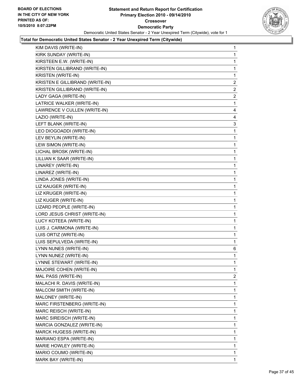

| KIM DAVIS (WRITE-IN)            | 1            |
|---------------------------------|--------------|
| KIRK SUNDAY (WRITE-IN)          | 1            |
| KIRSTEEN E.W. (WRITE-IN)        | 1            |
| KIRSTEN GILLIBRAND (WRITE-IN)   | 1            |
| <b>KRISTEN (WRITE-IN)</b>       | 1            |
| KRISTEN E GILLIBRAND (WRITE-IN) | 2            |
| KRISTEN GILLIBRAND (WRITE-IN)   | $\mathbf{2}$ |
| LADY GAGA (WRITE-IN)            | 2            |
| LATRICE WALKER (WRITE-IN)       | 1            |
| LAWRENCE V CULLEN (WRITE-IN)    | 4            |
| LAZIO (WRITE-IN)                | 4            |
| LEFT BLANK (WRITE-IN)           | 3            |
| LEO DIOGOADDI (WRITE-IN)        | 1            |
| LEV BEYLIN (WRITE-IN)           | 1            |
| LEW SIMON (WRITE-IN)            | 1            |
| LICHAL BROSK (WRITE-IN)         | 1            |
| LILLIAN K SAAR (WRITE-IN)       | 1            |
| LINAREY (WRITE-IN)              | 1            |
| LINAREZ (WRITE-IN)              | 1            |
| LINDA JONES (WRITE-IN)          | 1            |
| LIZ KAUGER (WRITE-IN)           | 1            |
| LIZ KRUGER (WRITE-IN)           | 1            |
| LIZ KUGER (WRITE-IN)            | 1            |
| LIZARD PEOPLE (WRITE-IN)        | 1            |
| LORD JESUS CHRIST (WRITE-IN)    | 1            |
| LUCY KOTEEA (WRITE-IN)          | 1            |
| LUIS J. CARMONA (WRITE-IN)      | 1            |
| LUIS ORTIZ (WRITE-IN)           | 1            |
| LUIS SEPULVEDA (WRITE-IN)       | 1            |
| LYNN NUNES (WRITE-IN)           | 6            |
| LYNN NUNEZ (WRITE-IN)           | 1            |
| LYNNE STEWART (WRITE-IN)        | 1            |
| MAJOIRE COHEN (WRITE-IN)        | 1            |
| MAL PASS (WRITE-IN)             | $\mathbf{2}$ |
| MALACHI R. DAVIS (WRITE-IN)     | 1            |
| MALCOM SMITH (WRITE-IN)         | 1            |
| MALONEY (WRITE-IN)              | 1            |
| MARC FIRSTENBERG (WRITE-IN)     | 1            |
| MARC REISCH (WRITE-IN)          | 1            |
| MARC SIREISCH (WRITE-IN)        | 1            |
| MARCIA GONZALEZ (WRITE-IN)      | 1            |
| MARCK HUGESS (WRITE-IN)         | 1            |
| MARIANO ESPA (WRITE-IN)         | 1            |
| MARIE HOWLEY (WRITE-IN)         | 1            |
| MARIO COUMO (WRITE-IN)          | 1            |
| MARK BAY (WRITE-IN)             | 1.           |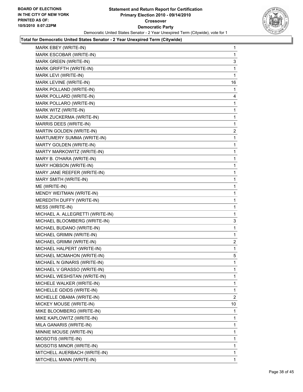

| MARK EBEY (WRITE-IN)             | 1              |
|----------------------------------|----------------|
| MARK ESCOBAR (WRITE-IN)          | 1              |
| MARK GREEN (WRITE-IN)            | 3              |
| MARK GRIFFTH (WRITE-IN)          | 1              |
| MARK LEVI (WRITE-IN)             | $\mathbf{1}$   |
| MARK LEVINE (WRITE-IN)           | 16             |
| MARK POLLAND (WRITE-IN)          | 1              |
| MARK POLLARD (WRITE-IN)          | 4              |
| MARK POLLARO (WRITE-IN)          | 1              |
| MARK WITZ (WRITE-IN)             | 1              |
| MARK ZUCKERMA (WRITE-IN)         | 1              |
| MARRIS DEES (WRITE-IN)           | 1              |
| MARTIN GOLDEN (WRITE-IN)         | 2              |
| MARTUMERY SUMMA (WRITE-IN)       | 1              |
| MARTY GOLDEN (WRITE-IN)          | 1              |
| MARTY MARKOWITZ (WRITE-IN)       | 1              |
| MARY B. O'HARA (WRITE-IN)        | 1              |
| MARY HOBSON (WRITE-IN)           | 1              |
| MARY JANE REEFER (WRITE-IN)      | 1              |
| MARY SMITH (WRITE-IN)            | 1              |
| ME (WRITE-IN)                    | 1              |
| MENDY WEITMAN (WRITE-IN)         | 1              |
| MEREDITH DUFFY (WRITE-IN)        | 1              |
| MESS (WRITE-IN)                  | 1              |
| MICHAEL A. ALLEGRETTI (WRITE-IN) | 1              |
| MICHAEL BLOOMBERG (WRITE-IN)     | 3              |
| MICHAEL BUDANO (WRITE-IN)        | 1              |
| MICHAEL GRIMIN (WRITE-IN)        | 1              |
| MICHAEL GRIMM (WRITE-IN)         | 2              |
| MICHAEL HALPERT (WRITE-IN)       | 1              |
| MICHAEL MCMAHON (WRITE-IN)       | 5              |
| MICHAEL N GINARIS (WRITE-IN)     | $\mathbf{1}$   |
| MICHAEL V GRASSO (WRITE-IN)      | 1              |
| MICHAEL WESHSTAN (WRITE-IN)      | 1              |
| MICHELE WALKER (WRITE-IN)        | 1              |
| MICHELLE GDIDS (WRITE-IN)        | 1              |
| MICHELLE OBAMA (WRITE-IN)        | $\overline{2}$ |
| MICKEY MOUSE (WRITE-IN)          | 10             |
| MIKE BLOOMBERG (WRITE-IN)        | 1              |
| MIKE KAPLOWITZ (WRITE-IN)        | 1              |
| MILA GANARIS (WRITE-IN)          | 1              |
| MINNIE MOUSE (WRITE-IN)          | 1              |
| MIOSOTIS (WRITE-IN)              | 1              |
| MIOSOTIS MINOR (WRITE-IN)        | 1              |
| MITCHELL AUERBACH (WRITE-IN)     | 1              |
| MITCHELL MANN (WRITE-IN)         | $\mathbf{1}$   |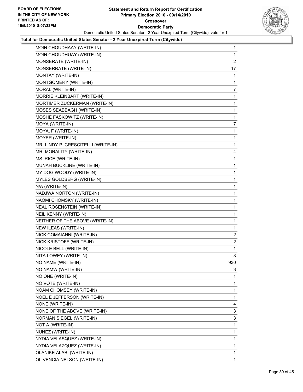

| MOIN CHOUDHAAY (WRITE-IN)           | 1              |
|-------------------------------------|----------------|
| MOIN CHOUDHUAY (WRITE-IN)           | 1              |
| MONSERATE (WRITE-IN)                | $\overline{2}$ |
| MONSERRATE (WRITE-IN)               | 17             |
| MONTAY (WRITE-IN)                   | 1              |
| MONTGOMERY (WRITE-IN)               | 1              |
| MORAL (WRITE-IN)                    | 7              |
| MORRIE KLEINBART (WRITE-IN)         | 1              |
| MORTIMER ZUCKERMAN (WRITE-IN)       | 1              |
| MOSES SEABBAGH (WRITE-IN)           | 1              |
| MOSHE FASKOWITZ (WRITE-IN)          | 1              |
| MOYA (WRITE-IN)                     | 7              |
| MOYA, F (WRITE-IN)                  | 1              |
| MOYER (WRITE-IN)                    | 1              |
| MR. LINDY P. CRESCITELLI (WRITE-IN) | 1              |
| MR. MORALITY (WRITE-IN)             | 4              |
| MS. RICE (WRITE-IN)                 | 1              |
| MUNAH BUCKLINE (WRITE-IN)           | 1              |
| MY DOG WOODY (WRITE-IN)             | 1              |
| MYLES GOLDBERG (WRITE-IN)           | 1              |
| N/A (WRITE-IN)                      | 1              |
| NADJWA NORTON (WRITE-IN)            | 1              |
| NAOMI CHOMSKY (WRITE-IN)            | 1              |
| NEAL ROSENSTEIN (WRITE-IN)          | 1              |
| NEIL KENNY (WRITE-IN)               | 1              |
| NEITHER OF THE ABOVE (WRITE-IN)     | 1              |
| NEW ILEAS (WRITE-IN)                | 1              |
| NICK COMAIANNI (WRITE-IN)           | 2              |
| NICK KRISTOFF (WRITE-IN)            | $\overline{2}$ |
| NICOLE BELL (WRITE-IN)              | 1              |
| NITA LOWEY (WRITE-IN)               | 3              |
| NO NAME (WRITE-IN)                  | 930            |
| NO NAMW (WRITE-IN)                  | 3              |
| NO ONE (WRITE-IN)                   | 1              |
| NO VOTE (WRITE-IN)                  | 1              |
| NOAM CHOMSEY (WRITE-IN)             | 1              |
| NOEL E JEFFERSON (WRITE-IN)         | 1              |
| NONE (WRITE-IN)                     | 4              |
| NONE OF THE ABOVE (WRITE-IN)        | 3              |
| NORMAN SIEGEL (WRITE-IN)            | 3              |
| NOT A (WRITE-IN)                    | 1              |
| NUNEZ (WRITE-IN)                    | 1              |
| NYDIA VELASQUEZ (WRITE-IN)          | 1              |
| NYDIA VELAZQUEZ (WRITE-IN)          | 1              |
| OLANIKE ALABI (WRITE-IN)            | 1              |
| OLIVENCIA NELSON (WRITE-IN)         | 1              |
|                                     |                |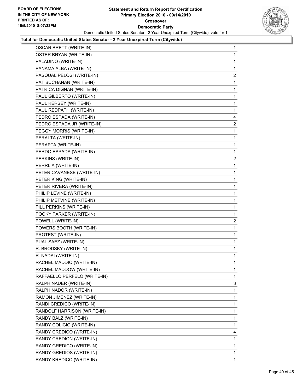

| <b>OSCAR BRETT (WRITE-IN)</b> | 1              |
|-------------------------------|----------------|
| OSTER BRYAN (WRITE-IN)        | 1              |
| PALADINO (WRITE-IN)           | 1              |
| PANAMA ALBA (WRITE-IN)        | 1              |
| PASQUAL PELOSI (WRITE-IN)     | $\overline{2}$ |
| PAT BUCHANAN (WRITE-IN)       | 1              |
| PATRICA DIGNAN (WRITE-IN)     | 1              |
| PAUL GILBERTO (WRITE-IN)      | 1              |
| PAUL KERSEY (WRITE-IN)        | 1              |
| PAUL REDPATH (WRITE-IN)       | 1              |
| PEDRO ESPADA (WRITE-IN)       | 4              |
| PEDRO ESPADA JR (WRITE-IN)    | 2              |
| PEGGY MORRIS (WRITE-IN)       | 1              |
| PERALTA (WRITE-IN)            | 1              |
| PERAPTA (WRITE-IN)            | 1              |
| PERDO ESPADA (WRITE-IN)       | 1              |
| PERKINS (WRITE-IN)            | 2              |
| PERRLIA (WRITE-IN)            | 1              |
| PETER CAVANESE (WRITE-IN)     | 1              |
| PETER KING (WRITE-IN)         | 1              |
| PETER RIVERA (WRITE-IN)       | 1              |
| PHILIP LEVINE (WRITE-IN)      | 1              |
| PHILIP METVINE (WRITE-IN)     | 1              |
| PILL PERKINS (WRITE-IN)       | 1              |
| POOKY PARKER (WRITE-IN)       | 1              |
| POWELL (WRITE-IN)             | 2              |
| POWERS BOOTH (WRITE-IN)       | 1              |
| PROTEST (WRITE-IN)            | 1              |
| PUAL SAEZ (WRITE-IN)          | 1              |
| R. BRODSKY (WRITE-IN)         | 1              |
| R. NADAI (WRITE-IN)           | 1              |
| RACHEL MADDIO (WRITE-IN)      | 1              |
| RACHEL MADDOW (WRITE-IN)      | 1              |
| RAFFAELLO PERFELO (WRITE-IN)  | 1              |
| RALPH NADER (WRITE-IN)        | 3              |
| RALPH NADOR (WRITE-IN)        | 1              |
| RAMON JIMENEZ (WRITE-IN)      | 1              |
| RANDI CREDICO (WRITE-IN)      | 1              |
| RANDOLF HARRISON (WRITE-IN)   | 1              |
| RANDY BALZ (WRITE-IN)         | 1              |
| RANDY COLICIO (WRITE-IN)      | 1              |
| RANDY CREDICO (WRITE-IN)      | 4              |
| RANDY CREDION (WRITE-IN)      | 1              |
| RANDY GREDICO (WRITE-IN)      | 1              |
| RANDY GREDIOS (WRITE-IN)      | 1              |
| RANDY KREDICO (WRITE-IN)      | $\mathbf{1}$   |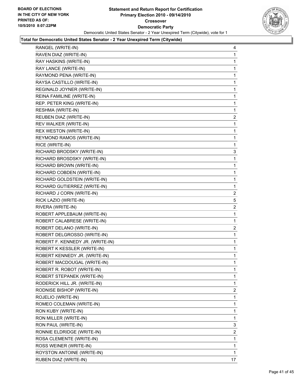

| RANGEL (WRITE-IN)                | 4  |
|----------------------------------|----|
| RAVEN DIAZ (WRITE-IN)            | 1  |
| RAY HASKINS (WRITE-IN)           | 1  |
| RAY LANCE (WRITE-IN)             | 1  |
| RAYMOND PENA (WRITE-IN)          | 1  |
| RAYSA CASTILLO (WRITE-IN)        | 1  |
| REGINALD JOYNER (WRITE-IN)       | 1  |
| REINA FAMILINE (WRITE-IN)        | 1  |
| REP. PETER KING (WRITE-IN)       | 1  |
| RESHMA (WRITE-IN)                | 1  |
| REUBEN DIAZ (WRITE-IN)           | 2  |
| REV WALKER (WRITE-IN)            | 1  |
| REX WESTON (WRITE-IN)            | 1  |
| REYMOND RAMOS (WRITE-IN)         | 1  |
| RICE (WRITE-IN)                  | 1  |
| RICHARD BRODSKY (WRITE-IN)       | 3  |
| RICHARD BROSDSKY (WRITE-IN)      | 1  |
| RICHARD BROWN (WRITE-IN)         | 1  |
| RICHARD COBDEN (WRITE-IN)        | 1  |
| RICHARD GOLDSTEIN (WRITE-IN)     | 1  |
| RICHARD GUTIERREZ (WRITE-IN)     | 1  |
| RICHARD J CORN (WRITE-IN)        | 2  |
| RICK LAZIO (WRITE-IN)            | 5  |
| RIVERA (WRITE-IN)                | 2  |
| ROBERT APPLEBAUM (WRITE-IN)      | 1  |
| ROBERT CALABRESE (WRITE-IN)      | 1  |
| ROBERT DELANO (WRITE-IN)         | 2  |
| ROBERT DELGROSSO (WRITE-IN)      | 1  |
| ROBERT F. KENNEDY JR. (WRITE-IN) | 1  |
| ROBERT K KESSLER (WRITE-IN)      | 1  |
| ROBERT KENNEDY JR. (WRITE-IN)    | 1  |
| ROBERT MACDOUGAL (WRITE-IN)      | 1  |
| ROBERT R. ROBOT (WRITE-IN)       | 1  |
| ROBERT STEPANEK (WRITE-IN)       | 1  |
| RODERICK HILL JR. (WRITE-IN)     | 1  |
| RODNISE BISHOP (WRITE-IN)        | 2  |
| ROJELIO (WRITE-IN)               | 1  |
| ROMEO COLEMAN (WRITE-IN)         | 1  |
| RON KUBY (WRITE-IN)              | 1  |
| RON MILLER (WRITE-IN)            | 1  |
| RON PAUL (WRITE-IN)              | 3  |
| RONNIE ELDRIDGE (WRITE-IN)       | 2  |
| ROSA CLEMENTE (WRITE-IN)         | 1  |
| ROSS WEINER (WRITE-IN)           | 1  |
| ROYSTON ANTOINE (WRITE-IN)       | 1  |
| RUBEN DIAZ (WRITE-IN)            | 17 |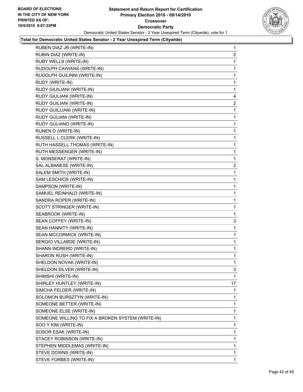

| RUBEN DIAZ JR (WRITE-IN)                          | 1            |
|---------------------------------------------------|--------------|
| RUBIN DIAZ (WRITE-IN)                             | $\mathbf{2}$ |
| RUBY WELLS (WRITE-IN)                             | 1            |
| RUDOLPH CAWIANS (WRITE-IN)                        | 1            |
| RUDOLPH GUILINNI (WRITE-IN)                       | 1            |
| RUDY (WRITE-IN)                                   | 1            |
| RUDY GIUILIANI (WRITE-IN)                         | 1            |
| RUDY GIULIANI (WRITE-IN)                          | 4            |
| RUDY GUILIANI (WRITE-IN)                          | 2            |
| RUDY GUILLIANI (WRITE-IN)                         | 1            |
| RUDY GULIANI (WRITE-IN)                           | 1            |
| RUDY GULIANO (WRITE-IN)                           | 1            |
| RUNEN D (WRITE-IN)                                | 1            |
| RUSSELL L CLERK (WRITE-IN)                        | 1            |
| RUTH HASSELL THOMAS (WRITE-IN)                    | 1            |
| RUTH MESSENGER (WRITE-IN)                         | 1            |
| S. MONSERAT (WRITE-IN)                            | 1            |
| SAL ALBANESE (WRITE-IN)                           | $\mathbf{2}$ |
| SALEM SMITH (WRITE-IN)                            | 1            |
| SAM LESCHIOS (WRITE-IN)                           | 1            |
| SAMPSON (WRITE-IN)                                | 1            |
| SAMUEL REINHALD (WRITE-IN)                        | 1            |
| SANDRA ROPER (WRITE-IN)                           | 1            |
| SCOTT STRINGER (WRITE-IN)                         | 1            |
| SEABROOK (WRITE-IN)                               | 1            |
| SEAN COFFEY (WRITE-IN)                            | 3            |
| SEAN HANNITY (WRITE-IN)                           | 1            |
| SEAN MCCORMICK (WRITE-IN)                         | 1            |
| SERGIO VILLARDE (WRITE-IN)                        | 1            |
| SHANN INDRERD (WRITE-IN)                          | 1            |
| SHARON RUSH (WRITE-IN)                            | 1            |
| SHELDON NOVAK (WRITE-IN)                          | 1            |
| SHELDON SILVER (WRITE-IN)                         | 3            |
| SHIMSHI (WRITE-IN)                                | 1            |
| SHIRLEY HUNTLEY (WRITE-IN)                        | 17           |
| SIMCHA FELDER (WRITE-IN)                          | 1            |
| SOLOMON BURSZTYN (WRITE-IN)                       | 1            |
| SOMEONE BETTER (WRITE-IN)                         | 1            |
| SOMEONE ELSE (WRITE-IN)                           | 1            |
| SOMEONE WILLING TO FIX A BROKEN SYSTEM (WRITE-IN) | 1            |
| SOO Y KIM (WRITE-IN)                              | 1            |
| SOSOR ESAK (WRITE-IN)                             | 1            |
| STACEY ROBINSON (WRITE-IN)                        | 1            |
| STEPHEN MIDDLEMAS (WRITE-IN)                      | 1            |
| STEVE DOWNS (WRITE-IN)                            | 1            |
| STEVE FORBES (WRITE-IN)                           | 1            |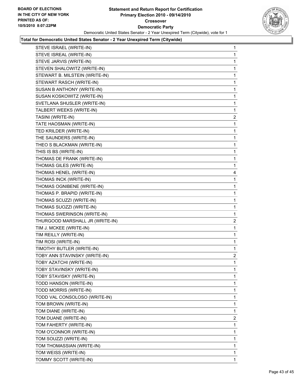

| STEVE ISRAEL (WRITE-IN)         | $\mathbf 1$    |
|---------------------------------|----------------|
| STEVE ISREAL (WRITE-IN)         | 1              |
| STEVE JARVIS (WRITE-IN)         | 1              |
| STEVEN SHALOWITZ (WRITE-IN)     | 1              |
| STEWART B. MILSTEIN (WRITE-IN)  | 1              |
| STEWART RASCH (WRITE-IN)        | 1              |
| SUSAN B ANTHONY (WRITE-IN)      | 1              |
| SUSAN KOSKOWITZ (WRITE-IN)      | 1              |
| SVETLANA SHUSLER (WRITE-IN)     | 1              |
| TALBERT WEEKS (WRITE-IN)        | 1              |
| TASINI (WRITE-IN)               | $\overline{c}$ |
| TATE HAOSMAN (WRITE-IN)         | 1              |
| TED KRILDER (WRITE-IN)          | 1              |
| THE SAUNDERS (WRITE-IN)         | 1              |
| THEO S BLACKMAN (WRITE-IN)      | 1              |
| THIS IS BS (WRITE-IN)           | 1              |
| THOMAS DE FRANK (WRITE-IN)      | 1              |
| THOMAS GILES (WRITE-IN)         | 1              |
| THOMAS HENEL (WRITE-IN)         | 4              |
| THOMAS INCK (WRITE-IN)          | 1              |
| THOMAS OGNIBENE (WRITE-IN)      | 1              |
| THOMAS P. BRAPID (WRITE-IN)     | 1              |
| THOMAS SCUZZI (WRITE-IN)        | 1              |
| THOMAS SUOZZI (WRITE-IN)        | 1              |
| THOMAS SWERINSON (WRITE-IN)     | 1              |
| THURGOOD MARSHALL JR (WRITE-IN) | $\overline{c}$ |
| TIM J. MCKEE (WRITE-IN)         | 1              |
| TIM REILLY (WRITE-IN)           | 1              |
| TIM ROSI (WRITE-IN)             | 1              |
| TIMOTHY BUTLER (WRITE-IN)       | 1              |
| TOBY ANN STAVINSKY (WRITE-IN)   | 2              |
| TOBY AZATCHI (WRITE-IN)         | 1              |
| TOBY STAVINSKY (WRITE-IN)       | 1              |
| TOBY STAVISKY (WRITE-IN)        | 1              |
| TODD HANSON (WRITE-IN)          | 1              |
| TODD MORRIS (WRITE-IN)          | 1              |
| TODD VAL CONSOLOSO (WRITE-IN)   | 1              |
| TOM BROWN (WRITE-IN)            | 1              |
| TOM DIANE (WRITE-IN)            | 1              |
| TOM DUANE (WRITE-IN)            | $\overline{2}$ |
| TOM FAHERTY (WRITE-IN)          | 1              |
| TOM O'CONNOR (WRITE-IN)         | 1              |
| TOM SOUZZI (WRITE-IN)           | 1              |
| TOM THOMASSIAN (WRITE-IN)       | 1              |
| TOM WEISS (WRITE-IN)            | 1              |
| TOMMY SCOTT (WRITE-IN)          | 1              |
|                                 |                |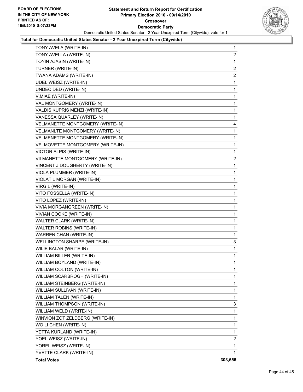

| TONY AVELA (WRITE-IN)            | 1              |
|----------------------------------|----------------|
| TONY AVELLA (WRITE-IN)           | $\overline{a}$ |
| TOYIN AJASIN (WRITE-IN)          | $\mathbf 1$    |
| TURNER (WRITE-IN)                | 2              |
| TWANA ADAMS (WRITE-IN)           | 2              |
| UDEL WEISZ (WRITE-IN)            | 1              |
| UNDECIDED (WRITE-IN)             | 1              |
| V.MIAE (WRITE-IN)                | $\mathbf 1$    |
| VAL MONTGOMERY (WRITE-IN)        | 1              |
| VALDIS KUPRIS MENZI (WRITE-IN)   | 1              |
| VANESSA QUARLEY (WRITE-IN)       | $\mathbf 1$    |
| VELMANETTE MONTGOMERY (WRITE-IN) | 4              |
| VELMANLTE MONTGOMERY (WRITE-IN)  | 1              |
| VELMENETTE MONTGOMERY (WRITE-IN) | 1              |
| VELMOVETTE MONTGOMERY (WRITE-IN) | 1              |
| VICTOR ALPIS (WRITE-IN)          | 1              |
| VILMANETTE MONTGOMERY (WRITE-IN) | 2              |
| VINCENT J DOUGHERTY (WRITE-IN)   | 1              |
| VIOLA PLUMMER (WRITE-IN)         | 1              |
| VIOLAT L MORGAN (WRITE-IN)       | $\mathbf 1$    |
| VIRGIL (WRITE-IN)                | 1              |
| VITO FOSSELLA (WRITE-IN)         | 1              |
| VITO LOPEZ (WRITE-IN)            | 1              |
| VIVIA MORGANGREEN (WRITE-IN)     | 1              |
| <b>VIVIAN COOKE (WRITE-IN)</b>   | 1              |
| WALTER CLARK (WRITE-IN)          | 1              |
| WALTER ROBINS (WRITE-IN)         | 1              |
| WARREN CHAN (WRITE-IN)           | 1              |
| WELLINGTON SHARPE (WRITE-IN)     | 3              |
| WILIE BALAR (WRITE-IN)           | 1              |
| WILLIAM BILLER (WRITE-IN)        | 1              |
| WILLIAM BOYLAND (WRITE-IN)       | $\mathbf 1$    |
| WILLIAM COLTON (WRITE-IN)        | 1              |
| WILLIAM SCARBROGH (WRITE-IN)     | 1              |
| WILLIAM STEINBERG (WRITE-IN)     | 1              |
| WILLIAM SULLIVAN (WRITE-IN)      | 1              |
| WILLIAM TALEN (WRITE-IN)         | 1              |
| WILLIAM THOMPSON (WRITE-IN)      | 3              |
| WILLIAM WELD (WRITE-IN)          | 1              |
| WINVION ZOT ZELDBERG (WRITE-IN)  | 1              |
| WO LI CHEN (WRITE-IN)            | 1              |
| YETTA KURLAND (WRITE-IN)         | 1              |
| YOEL WEISZ (WRITE-IN)            | $\overline{2}$ |
| YOREL WEISZ (WRITE-IN)           | 1              |
| YVETTE CLARK (WRITE-IN)          | 1              |
| <b>Total Votes</b>               | 303,556        |